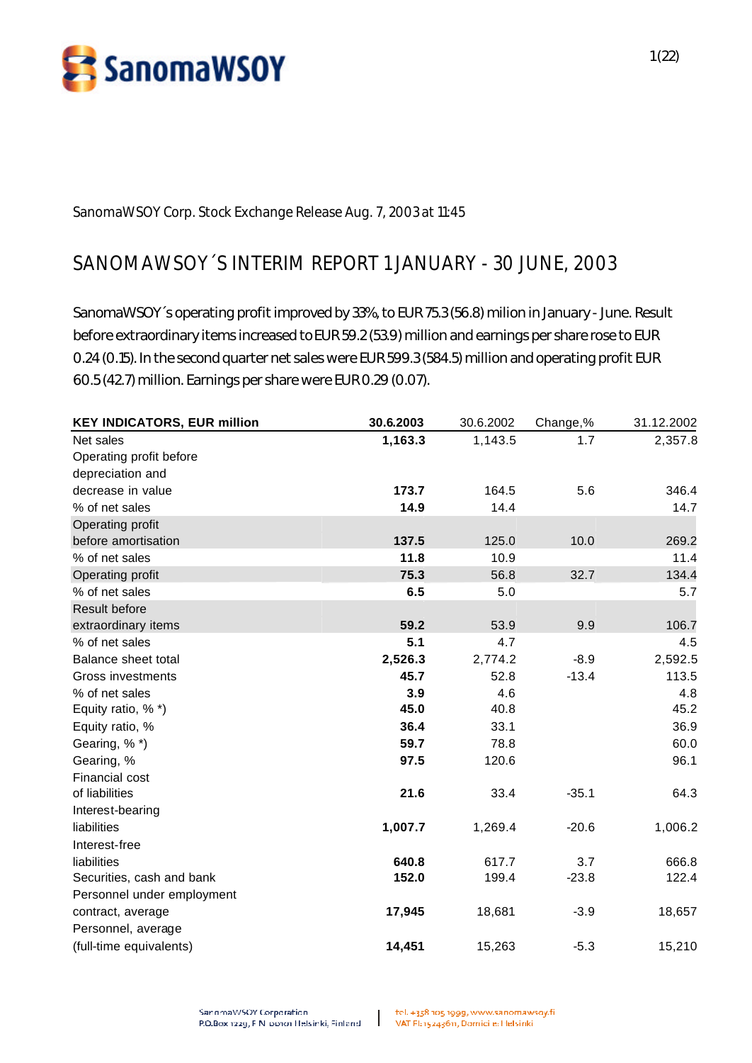

**SanomaWSOY Corp. Stock Exchange Release Aug. 7, 2003 at 11:45**

# **SANOMAWSOY´S INTERIM REPORT 1 JANUARY - 30 JUNE, 2003**

SanomaWSOY´s operating profit improved by 33%, to EUR 75.3 (56.8) milion in January - June. Result before extraordinary items increased to EUR 59.2 (53.9) million and earnings per share rose to EUR 0.24 (0.15). In the second quarter net sales were EUR 599.3 (584.5) million and operating profit EUR 60.5 (42.7) million. Earnings per share were EUR 0.29 (0.07).

| <b>KEY INDICATORS, EUR million</b> | 30.6.2003 | 30.6.2002 | Change,% | 31.12.2002 |
|------------------------------------|-----------|-----------|----------|------------|
| Net sales                          | 1,163.3   | 1,143.5   | 1.7      | 2,357.8    |
| Operating profit before            |           |           |          |            |
| depreciation and                   |           |           |          |            |
| decrease in value                  | 173.7     | 164.5     | 5.6      | 346.4      |
| % of net sales                     | 14.9      | 14.4      |          | 14.7       |
| Operating profit                   |           |           |          |            |
| before amortisation                | 137.5     | 125.0     | 10.0     | 269.2      |
| % of net sales                     | 11.8      | 10.9      |          | 11.4       |
| Operating profit                   | 75.3      | 56.8      | 32.7     | 134.4      |
| % of net sales                     | 6.5       | 5.0       |          | 5.7        |
| <b>Result before</b>               |           |           |          |            |
| extraordinary items                | 59.2      | 53.9      | 9.9      | 106.7      |
| % of net sales                     | 5.1       | 4.7       |          | 4.5        |
| Balance sheet total                | 2,526.3   | 2,774.2   | $-8.9$   | 2,592.5    |
| <b>Gross investments</b>           | 45.7      | 52.8      | $-13.4$  | 113.5      |
| % of net sales                     | 3.9       | 4.6       |          | 4.8        |
| Equity ratio, % *)                 | 45.0      | 40.8      |          | 45.2       |
| Equity ratio, %                    | 36.4      | 33.1      |          | 36.9       |
| Gearing, %*)                       | 59.7      | 78.8      |          | 60.0       |
| Gearing, %                         | 97.5      | 120.6     |          | 96.1       |
| Financial cost                     |           |           |          |            |
| of liabilities                     | 21.6      | 33.4      | $-35.1$  | 64.3       |
| Interest-bearing                   |           |           |          |            |
| liabilities                        | 1,007.7   | 1,269.4   | $-20.6$  | 1,006.2    |
| Interest-free                      |           |           |          |            |
| liabilities                        | 640.8     | 617.7     | 3.7      | 666.8      |
| Securities, cash and bank          | 152.0     | 199.4     | $-23.8$  | 122.4      |
| Personnel under employment         |           |           |          |            |
| contract, average                  | 17,945    | 18,681    | $-3.9$   | 18,657     |
| Personnel, average                 |           |           |          |            |
| (full-time equivalents)            | 14,451    | 15,263    | $-5.3$   | 15,210     |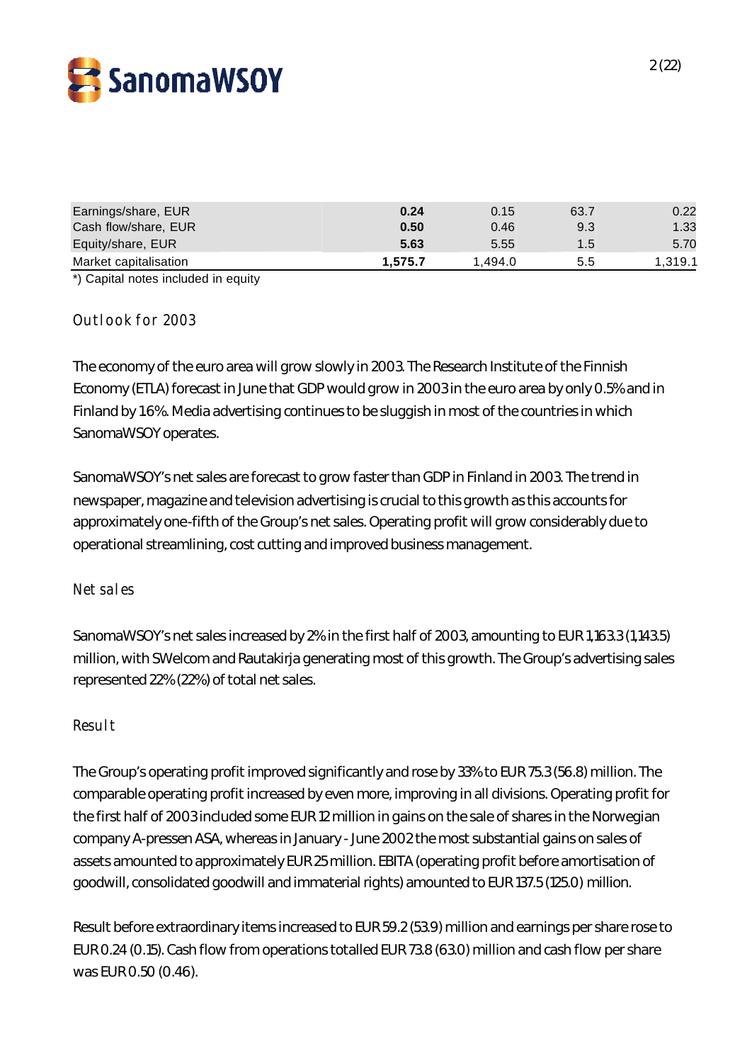

| Earnings/share, EUR<br>Cash flow/share, EUR | 0.24<br>0.50 | 0.15<br>0.46 | 63.7<br>9.3   | 0.22<br>1.33 |
|---------------------------------------------|--------------|--------------|---------------|--------------|
| Equity/share, EUR                           | 5.63         | 5.55         | $1.5^{\circ}$ | 5.70         |
| Market capitalisation                       | 1.575.7      | 1.494.0      | 5.5           | 1.319.1      |

\*) Capital notes included in equity

### **Outlook for 2003**

The economy of the euro area will grow slowly in 2003. The Research Institute of the Finnish Economy (ETLA) forecast in June that GDP would grow in 2003 in the euro area by only 0.5% and in Finland by 1.6%. Media advertising continues to be sluggish in most of the countries in which SanomaWSOY operates.

SanomaWSOY's net sales are forecast to grow faster than GDP in Finland in 2003. The trend in newspaper, magazine and television advertising is crucial to this growth as this accounts for approximately one-fifth of the Group's net sales. Operating profit will grow considerably due to operational streamlining, cost cutting and improved business management.

#### **Net sales**

SanomaWSOY's net sales increased by 2% in the first half of 2003, amounting to EUR 1,163.3 (1,143.5) million, with SWelcom and Rautakirja generating most of this growth. The Group's advertising sales represented 22% (22%) of total net sales.

#### **Result**

The Group's operating profit improved significantly and rose by 33% to EUR 75.3 (56.8) million. The comparable operating profit increased by even more, improving in all divisions. Operating profit for the first half of 2003 included some EUR 12 million in gains on the sale of shares in the Norwegian company A-pressen ASA, whereas in January - June 2002 the most substantial gains on sales of assets amounted to approximately EUR 25 million. EBITA (operating profit before amortisation of goodwill, consolidated goodwill and immaterial rights) amounted to EUR 137.5 (125.0) million.

Result before extraordinary items increased to EUR 59.2 (53.9) million and earnings per share rose to EUR 0.24 (0.15). Cash flow from operations totalled EUR 73.8 (63.0) million and cash flow per share was EUR 0.50 (0.46).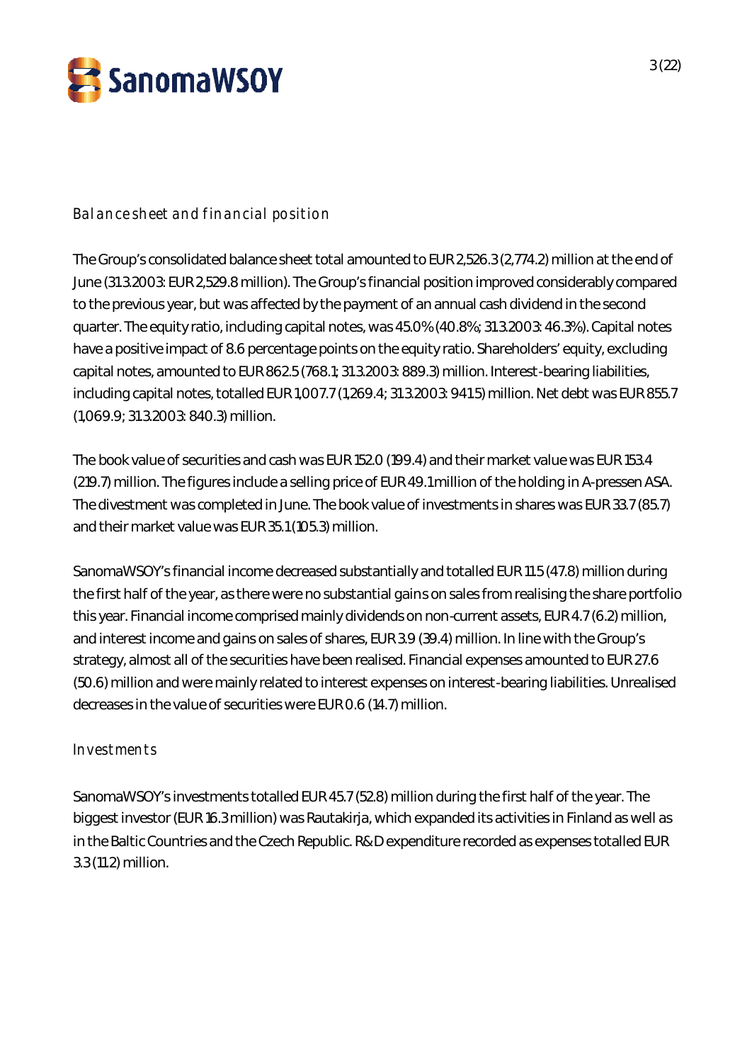

**Balance sheet and financial position**

The Group's consolidated balance sheet total amounted to EUR 2,526.3 (2,774.2) million at the end of June (31.3.2003: EUR 2,529.8 million). The Group's financial position improved considerably compared to the previous year, but was affected by the payment of an annual cash dividend in the second quarter. The equity ratio, including capital notes, was 45.0% (40.8%; 31.3.2003: 46.3%). Capital notes have a positive impact of 8.6 percentage points on the equity ratio. Shareholders' equity, excluding capital notes, amounted to EUR 862.5 (768.1; 31.3.2003: 889.3) million. Interest-bearing liabilities, including capital notes, totalled EUR 1,007.7 (1,269.4; 31.3.2003: 941.5) million. Net debt was EUR 855.7 (1,069.9; 31.3.2003: 840.3) million.

The book value of securities and cash was EUR 152.0 (199.4) and their market value was EUR 153.4 (219.7) million. The figures include a selling price of EUR 49.1 million of the holding in A-pressen ASA. The divestment was completed in June. The book value of investments in shares was EUR 33.7 (85.7) and their market value was EUR 35.1 (105.3) million.

SanomaWSOY's financial income decreased substantially and totalled EUR 11.5 (47.8) million during the first half of the year, as there were no substantial gains on sales from realising the share portfolio this year. Financial income comprised mainly dividends on non-current assets, EUR 4.7 (6.2) million, and interest income and gains on sales of shares, EUR 3.9 (39.4) million. In line with the Group's strategy, almost all of the securities have been realised. Financial expenses amounted to EUR 27.6 (50.6) million and were mainly related to interest expenses on interest-bearing liabilities. Unrealised decreases in the value of securities were EUR 0.6 (14.7) million.

# **Investments**

SanomaWSOY's investments totalled EUR 45.7 (52.8) million during the first half of the year. The biggest investor (EUR 16.3 million) was Rautakirja, which expanded its activities in Finland as well as in the Baltic Countries and the Czech Republic. R&D expenditure recorded as expenses totalled EUR 3.3 (11.2) million.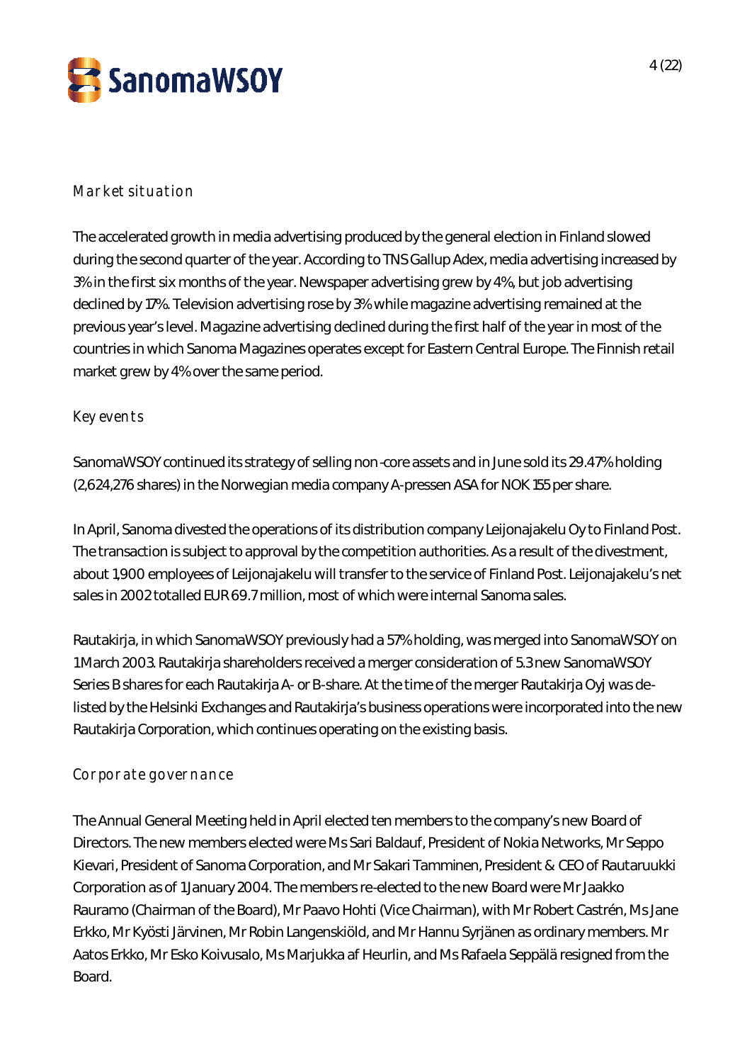

# **Market situation**

The accelerated growth in media advertising produced by the general election in Finland slowed during the second quarter of the year. According to TNS Gallup Adex, media advertising increased by 3% in the first six months of the year. Newspaper advertising grew by 4%, but job advertising declined by 17%. Television advertising rose by 3% while magazine advertising remained at the previous year's level. Magazine advertising declined during the first half of the year in most of the countries in which Sanoma Magazines operates except for Eastern Central Europe. The Finnish retail market grew by 4% over the same period.

### **Key events**

SanomaWSOY continued its strategy of selling non-core assets and in June sold its 29.47% holding (2,624,276 shares) in the Norwegian media company A-pressen ASA for NOK 155 per share.

In April, Sanoma divested the operations of its distribution company Leijonajakelu Oy to Finland Post. The transaction is subject to approval by the competition authorities. As a result of the divestment, about 1,900 employees of Leijonajakelu will transfer to the service of Finland Post. Leijonajakelu's net sales in 2002 totalled EUR 69.7 million, most of which were internal Sanoma sales.

Rautakirja, in which SanomaWSOY previously had a 57% holding, was merged into SanomaWSOY on 1 March 2003. Rautakirja shareholders received a merger consideration of 5.3 new SanomaWSOY Series B shares for each Rautakirja A- or B-share. At the time of the merger Rautakirja Oyj was delisted by the Helsinki Exchanges and Rautakirja's business operations were incorporated into the new Rautakirja Corporation, which continues operating on the existing basis.

# **Corporate governance**

The Annual General Meeting held in April elected ten members to the company's new Board of Directors. The new members elected were Ms Sari Baldauf, President of Nokia Networks, Mr Seppo Kievari, President of Sanoma Corporation, and Mr Sakari Tamminen, President & CEO of Rautaruukki Corporation as of 1 January 2004. The members re-elected to the new Board were Mr Jaakko Rauramo (Chairman of the Board), Mr Paavo Hohti (Vice Chairman), with Mr Robert Castrén, Ms Jane Erkko, Mr Kyösti Järvinen, Mr Robin Langenskiöld, and Mr Hannu Syrjänen as ordinary members. Mr Aatos Erkko, Mr Esko Koivusalo, Ms Marjukka af Heurlin, and Ms Rafaela Seppälä resigned from the Board.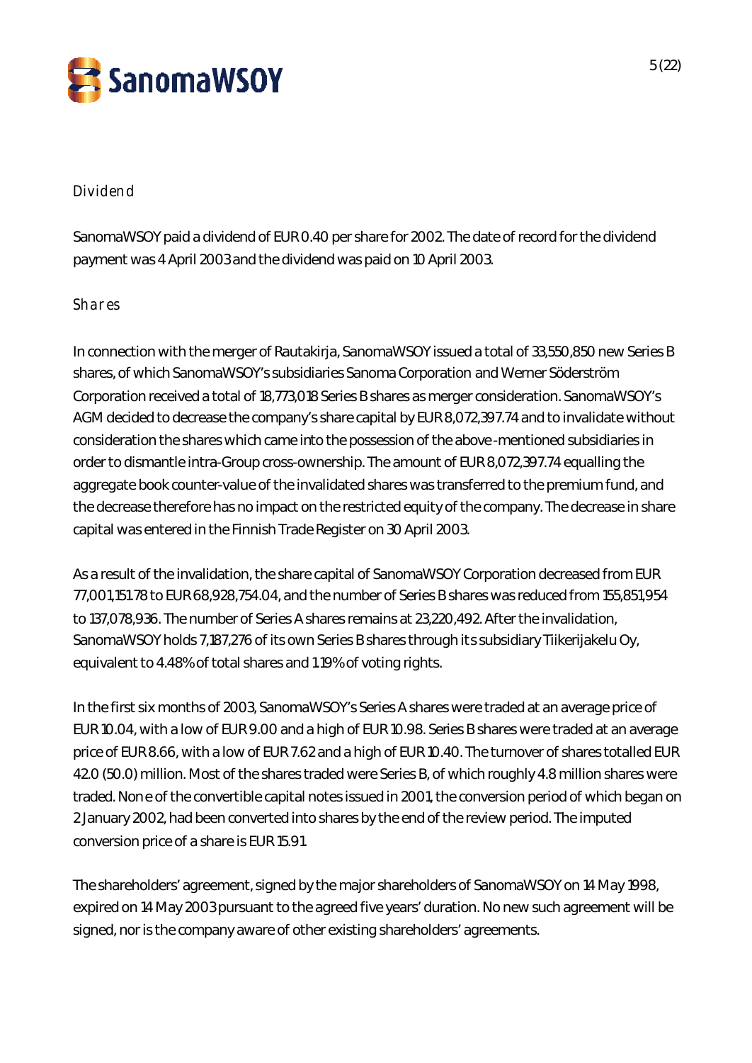

### **Dividend**

SanomaWSOY paid a dividend of EUR 0.40 per share for 2002. The date of record for the dividend payment was 4 April 2003 and the dividend was paid on 10 April 2003.

### **Shares**

In connection with the merger of Rautakirja, SanomaWSOY issued a total of 33,550,850 new Series B shares, of which SanomaWSOY's subsidiaries Sanoma Corporation and Werner Söderström Corporation received a total of 18,773,018 Series B shares as merger consideration. SanomaWSOY's AGM decided to decrease the company's share capital by EUR 8,072,397.74 and to invalidate without consideration the shares which came into the possession of the above-mentioned subsidiaries in order to dismantle intra-Group cross-ownership. The amount of EUR 8,072,397.74 equalling the aggregate book counter-value of the invalidated shares was transferred to the premium fund, and the decrease therefore has no impact on the restricted equity of the company. The decrease in share capital was entered in the Finnish Trade Register on 30 April 2003.

As a result of the invalidation, the share capital of SanomaWSOY Corporation decreased from EUR 77,001,151.78 to EUR 68,928,754.04, and the number of Series B shares was reduced from 155,851,954 to 137,078,936. The number of Series A shares remains at 23,220,492. After the invalidation, SanomaWSOY holds 7,187,276 of its own Series B shares through its subsidiary Tiikerijakelu Oy, equivalent to 4.48% of total shares and 1.19% of voting rights.

In the first six months of 2003, SanomaWSOY's Series A shares were traded at an average price of EUR 10.04, with a low of EUR 9.00 and a high of EUR 10.98. Series B shares were traded at an average price of EUR 8.66, with a low of EUR 7.62 and a high of EUR 10.40. The turnover of shares totalled EUR 42.0 (50.0) million. Most of the shares traded were Series B, of which roughly 4.8 million shares were traded. None of the convertible capital notes issued in 2001, the conversion period of which began on 2 January 2002, had been converted into shares by the end of the review period. The imputed conversion price of a share is EUR 15.91.

The shareholders' agreement, signed by the major shareholders of SanomaWSOY on 14 May 1998, expired on 14 May 2003 pursuant to the agreed five years' duration. No new such agreement will be signed, nor is the company aware of other existing shareholders' agreements.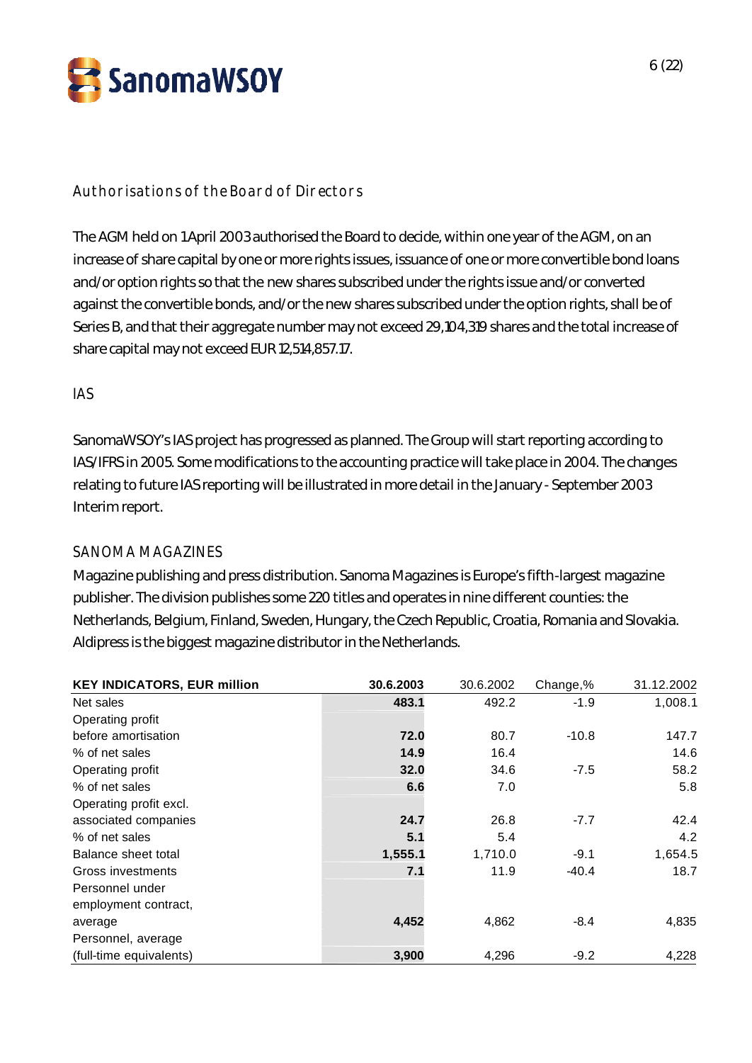

# **Authorisations of the Board of Directors**

The AGM held on 1 April 2003 authorised the Board to decide, within one year of the AGM, on an increase of share capital by one or more rights issues, issuance of one or more convertible bond loans and/or option rights so that the new shares subscribed under the rights issue and/or converted against the convertible bonds, and/or the new shares subscribed under the option rights, shall be of Series B, and that their aggregate number may not exceed 29,104,319 shares and the total increase of share capital may not exceed EUR 12,514,857.17.

### **IAS**

SanomaWSOY's IAS project has progressed as planned. The Group will start reporting according to IAS/IFRS in 2005. Some modifications to the accounting practice will take place in 2004. The changes relating to future IAS reporting will be illustrated in more detail in the January - September 2003 Interim report.

### SANOMA MAGAZINES

Magazine publishing and press distribution. Sanoma Magazines is Europe's fifth-largest magazine publisher. The division publishes some 220 titles and operates in nine different counties: the Netherlands, Belgium, Finland, Sweden, Hungary, the Czech Republic, Croatia, Romania and Slovakia. Aldipress is the biggest magazine distributor in the Netherlands.

| <b>KEY INDICATORS, EUR million</b> | 30.6.2003 | 30.6.2002 | Change,% | 31.12.2002 |
|------------------------------------|-----------|-----------|----------|------------|
| Net sales                          | 483.1     | 492.2     | $-1.9$   | 1,008.1    |
| Operating profit                   |           |           |          |            |
| before amortisation                | 72.0      | 80.7      | $-10.8$  | 147.7      |
| % of net sales                     | 14.9      | 16.4      |          | 14.6       |
| Operating profit                   | 32.0      | 34.6      | $-7.5$   | 58.2       |
| % of net sales                     | 6.6       | 7.0       |          | 5.8        |
| Operating profit excl.             |           |           |          |            |
| associated companies               | 24.7      | 26.8      | $-7.7$   | 42.4       |
| % of net sales                     | 5.1       | 5.4       |          | 4.2        |
| Balance sheet total                | 1,555.1   | 1,710.0   | $-9.1$   | 1,654.5    |
| Gross investments                  | 7.1       | 11.9      | $-40.4$  | 18.7       |
| Personnel under                    |           |           |          |            |
| employment contract,               |           |           |          |            |
| average                            | 4,452     | 4,862     | $-8.4$   | 4,835      |
| Personnel, average                 |           |           |          |            |
| (full-time equivalents)            | 3,900     | 4,296     | $-9.2$   | 4,228      |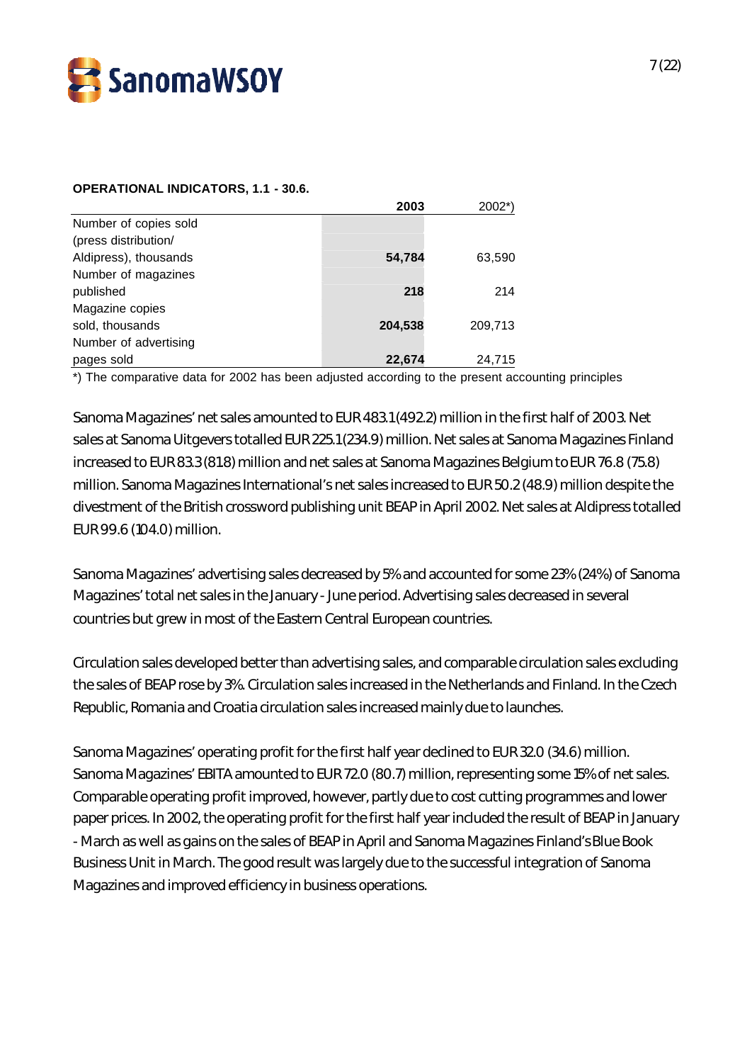

#### **OPERATIONAL INDICATORS, 1.1 - 30.6.**

|                       | 2003    | 2002*)  |
|-----------------------|---------|---------|
| Number of copies sold |         |         |
| (press distribution/  |         |         |
| Aldipress), thousands | 54,784  | 63,590  |
| Number of magazines   |         |         |
| published             | 218     | 214     |
| Magazine copies       |         |         |
| sold, thousands       | 204,538 | 209,713 |
| Number of advertising |         |         |
| pages sold            | 22,674  | 24,715  |

\*) The comparative data for 2002 has been adjusted according to the present accounting principles

Sanoma Magazines' net sales amounted to EUR 483.1 (492.2) million in the first half of 2003. Net sales at Sanoma Uitgevers totalled EUR 225.1 (234.9) million. Net sales at Sanoma Magazines Finland increased to EUR 83.3 (81.8) million and net sales at Sanoma Magazines Belgium to EUR 76.8 (75.8) million. Sanoma Magazines International's net sales increased to EUR 50.2 (48.9) million despite the divestment of the British crossword publishing unit BEAP in April 2002. Net sales at Aldipress totalled EUR 99.6 (104.0) million.

Sanoma Magazines' advertising sales decreased by 5% and accounted for some 23% (24%) of Sanoma Magazines' total net sales in the January - June period. Advertising sales decreased in several countries but grew in most of the Eastern Central European countries.

Circulation sales developed better than advertising sales, and comparable circulation sales excluding the sales of BEAP rose by 3%. Circulation sales increased in the Netherlands and Finland. In the Czech Republic, Romania and Croatia circulation sales increased mainly due to launches.

Sanoma Magazines' operating profit for the first half year declined to EUR 32.0 (34.6) million. Sanoma Magazines' EBITA amounted to EUR 72.0 (80.7) million, representing some 15% of net sales. Comparable operating profit improved, however, partly due to cost cutting programmes and lower paper prices. In 2002, the operating profit for the first half year included the result of BEAP in January - March as well as gains on the sales of BEAP in April and Sanoma Magazines Finland's Blue Book Business Unit in March. The good result was largely due to the successful integration of Sanoma Magazines and improved efficiency in business operations.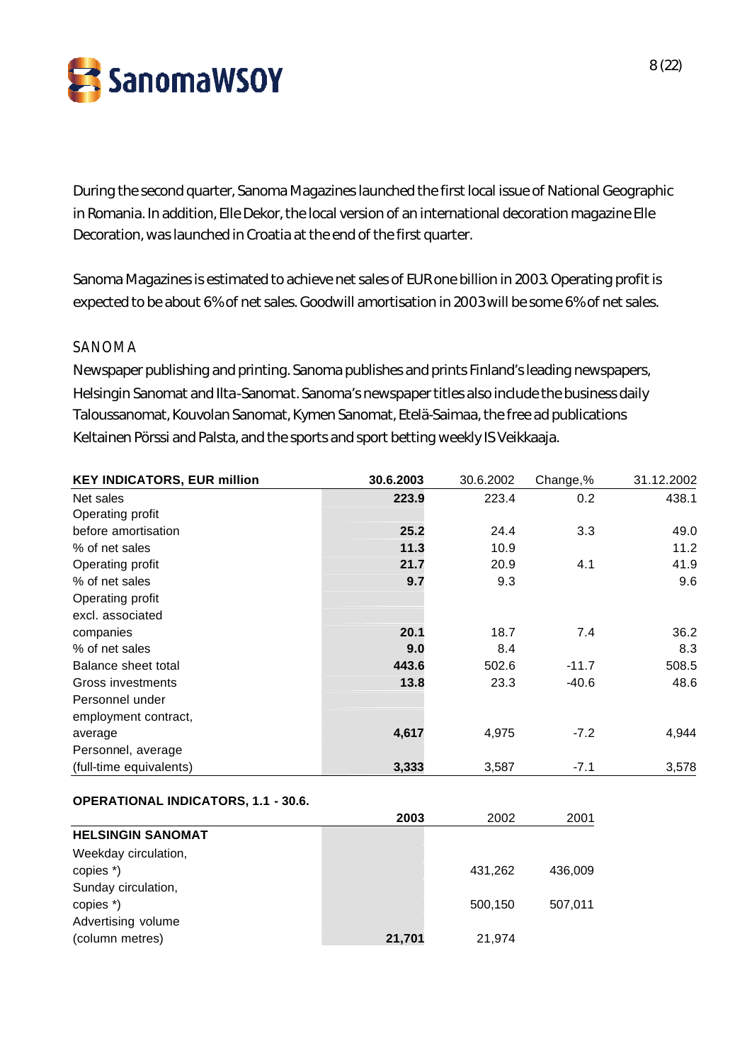

During the second quarter, Sanoma Magazines launched the first local issue of National Geographic in Romania. In addition, Elle Dekor, the local version of an international decoration magazine Elle Decoration, was launched in Croatia at the end of the first quarter.

Sanoma Magazines is estimated to achieve net sales of EUR one billion in 2003. Operating profit is expected to be about 6% of net sales. Goodwill amortisation in 2003 will be some 6% of net sales.

### SANOMA

Newspaper publishing and printing. Sanoma publishes and prints Finland's leading newspapers, Helsingin Sanomat and Ilta-Sanomat. Sanoma's newspaper titles also include the business daily Taloussanomat, Kouvolan Sanomat, Kymen Sanomat, Etelä-Saimaa, the free ad publications Keltainen Pörssi and Palsta, and the sports and sport betting weekly IS Veikkaaja.

| <b>KEY INDICATORS, EUR million</b> | 30.6.2003 | 30.6.2002 | Change,% | 31.12.2002 |
|------------------------------------|-----------|-----------|----------|------------|
| Net sales                          | 223.9     | 223.4     | 0.2      | 438.1      |
| Operating profit                   |           |           |          |            |
| before amortisation                | 25.2      | 24.4      | 3.3      | 49.0       |
| % of net sales                     | 11.3      | 10.9      |          | 11.2       |
| Operating profit                   | 21.7      | 20.9      | 4.1      | 41.9       |
| % of net sales                     | 9.7       | 9.3       |          | 9.6        |
| Operating profit                   |           |           |          |            |
| excl. associated                   |           |           |          |            |
| companies                          | 20.1      | 18.7      | 7.4      | 36.2       |
| % of net sales                     | 9.0       | 8.4       |          | 8.3        |
| Balance sheet total                | 443.6     | 502.6     | $-11.7$  | 508.5      |
| Gross investments                  | 13.8      | 23.3      | $-40.6$  | 48.6       |
| Personnel under                    |           |           |          |            |
| employment contract,               |           |           |          |            |
| average                            | 4,617     | 4,975     | $-7.2$   | 4,944      |
| Personnel, average                 |           |           |          |            |
| (full-time equivalents)            | 3,333     | 3,587     | $-7.1$   | 3,578      |

#### **OPERATIONAL INDICATORS, 1.1 - 30.6.**

|                          | 2003   | 2002    | 2001    |
|--------------------------|--------|---------|---------|
| <b>HELSINGIN SANOMAT</b> |        |         |         |
| Weekday circulation,     |        |         |         |
| copies *)                |        | 431,262 | 436,009 |
| Sunday circulation,      |        |         |         |
| copies *)                |        | 500,150 | 507.011 |
| Advertising volume       |        |         |         |
| (column metres)          | 21,701 | 21,974  |         |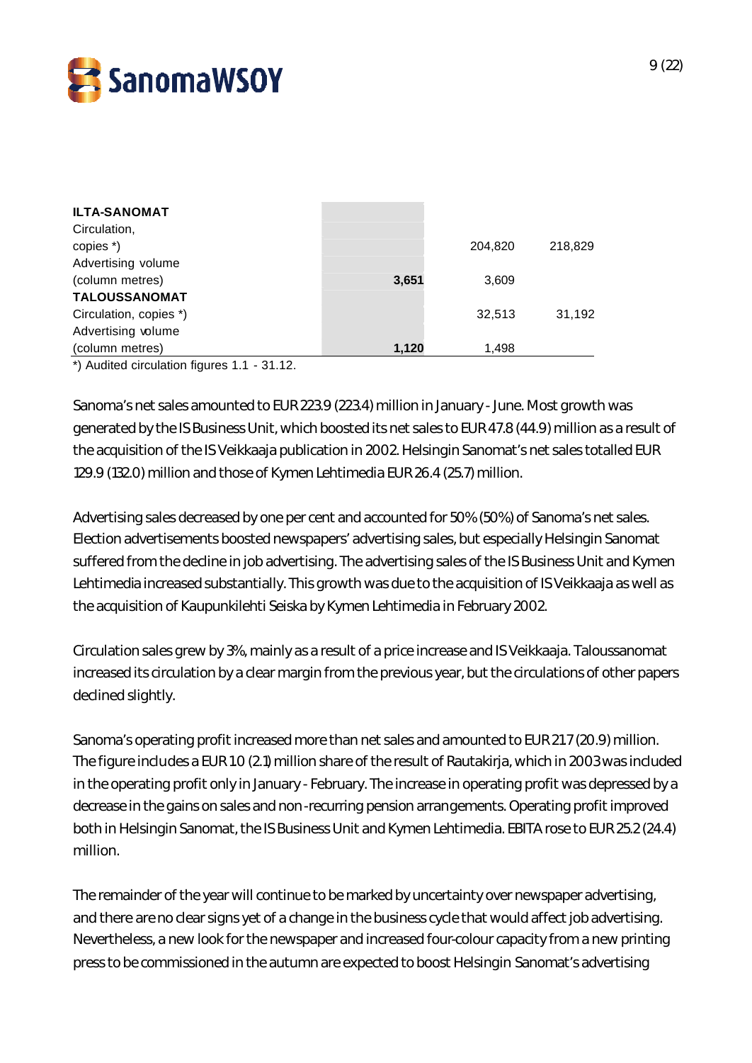

| <b>ILTA-SANOMAT</b>    |       |         |         |
|------------------------|-------|---------|---------|
| Circulation,           |       |         |         |
| copies *)              |       | 204,820 | 218,829 |
| Advertising volume     |       |         |         |
| (column metres)        | 3,651 | 3,609   |         |
| <b>TALOUSSANOMAT</b>   |       |         |         |
| Circulation, copies *) |       | 32.513  | 31,192  |
| Advertising volume     |       |         |         |
| (column metres)        | 1,120 | 1,498   |         |

\*) Audited circulation figures 1.1 - 31.12.

Sanoma's net sales amounted to EUR 223.9 (223.4) million in January - June. Most growth was generated by the IS Business Unit, which boosted its net sales to EUR 47.8 (44.9) million as a result of the acquisition of the IS Veikkaaja publication in 2002. Helsingin Sanomat's net sales totalled EUR 129.9 (132.0) million and those of Kymen Lehtimedia EUR 26.4 (25.7) million.

Advertising sales decreased by one per cent and accounted for 50% (50%) of Sanoma's net sales. Election advertisements boosted newspapers' advertising sales, but especially Helsingin Sanomat suffered from the decline in job advertising. The advertising sales of the IS Business Unit and Kymen Lehtimedia increased substantially. This growth was due to the acquisition of IS Veikkaaja as well as the acquisition of Kaupunkilehti Seiska by Kymen Lehtimedia in February 2002.

Circulation sales grew by 3%, mainly as a result of a price increase and IS Veikkaaja. Taloussanomat increased its circulation by a clear margin from the previous year, but the circulations of other papers declined slightly.

Sanoma's operating profit increased more than net sales and amounted to EUR 21.7 (20.9) million. The figure includes a EUR 1.0 (2.1) million share of the result of Rautakirja, which in 2003 was included in the operating profit only in January - February. The increase in operating profit was depressed by a decrease in the gains on sales and non-recurring pension arrangements. Operating profit improved both in Helsingin Sanomat, the IS Business Unit and Kymen Lehtimedia. EBITA rose to EUR 25.2 (24.4) million.

The remainder of the year will continue to be marked by uncertainty over newspaper advertising, and there are no clear signs yet of a change in the business cycle that would affect job advertising. Nevertheless, a new look for the newspaper and increased four-colour capacity from a new printing press to be commissioned in the autumn are expected to boost Helsingin Sanomat's advertising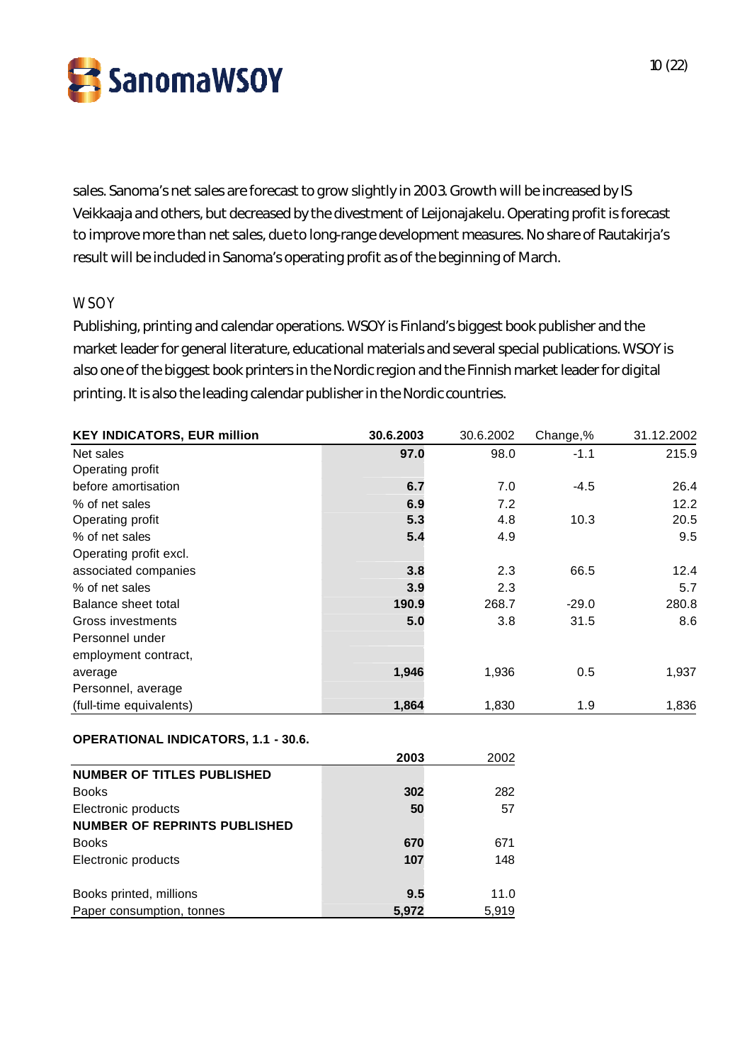SanomaWSOY

sales. Sanoma's net sales are forecast to grow slightly in 2003. Growth will be increased by IS Veikkaaja and others, but decreased by the divestment of Leijonajakelu. Operating profit is forecast to improve more than net sales, due to long-range development measures. No share of Rautakirja's result will be included in Sanoma's operating profit as of the beginning of March.

### **WSOY**

Publishing, printing and calendar operations. WSOY is Finland's biggest book publisher and the market leader for general literature, educational materials and several special publications. WSOY is also one of the biggest book printers in the Nordic region and the Finnish market leader for digital printing. It is also the leading calendar publisher in the Nordic countries.

| <b>KEY INDICATORS, EUR million</b> | 30.6.2003 | 30.6.2002 | Change,% | 31.12.2002 |
|------------------------------------|-----------|-----------|----------|------------|
| Net sales                          | 97.0      | 98.0      | $-1.1$   | 215.9      |
| Operating profit                   |           |           |          |            |
| before amortisation                | 6.7       | 7.0       | $-4.5$   | 26.4       |
| % of net sales                     | 6.9       | 7.2       |          | 12.2       |
| Operating profit                   | 5.3       | 4.8       | 10.3     | 20.5       |
| % of net sales                     | 5.4       | 4.9       |          | 9.5        |
| Operating profit excl.             |           |           |          |            |
| associated companies               | 3.8       | 2.3       | 66.5     | 12.4       |
| % of net sales                     | 3.9       | 2.3       |          | 5.7        |
| Balance sheet total                | 190.9     | 268.7     | $-29.0$  | 280.8      |
| Gross investments                  | 5.0       | 3.8       | 31.5     | 8.6        |
| Personnel under                    |           |           |          |            |
| employment contract,               |           |           |          |            |
| average                            | 1,946     | 1,936     | 0.5      | 1,937      |
| Personnel, average                 |           |           |          |            |
| (full-time equivalents)            | 1,864     | 1,830     | 1.9      | 1,836      |

#### **OPERATIONAL INDICATORS, 1.1 - 30.6.**

|                                     | 2003  | 2002  |
|-------------------------------------|-------|-------|
| <b>NUMBER OF TITLES PUBLISHED</b>   |       |       |
| <b>Books</b>                        | 302   | 282   |
| Electronic products                 | 50    | 57    |
| <b>NUMBER OF REPRINTS PUBLISHED</b> |       |       |
| <b>Books</b>                        | 670   | 671   |
| Electronic products                 | 107   | 148   |
|                                     |       |       |
| Books printed, millions             | 9.5   | 11.0  |
| Paper consumption, tonnes           | 5.972 | 5,919 |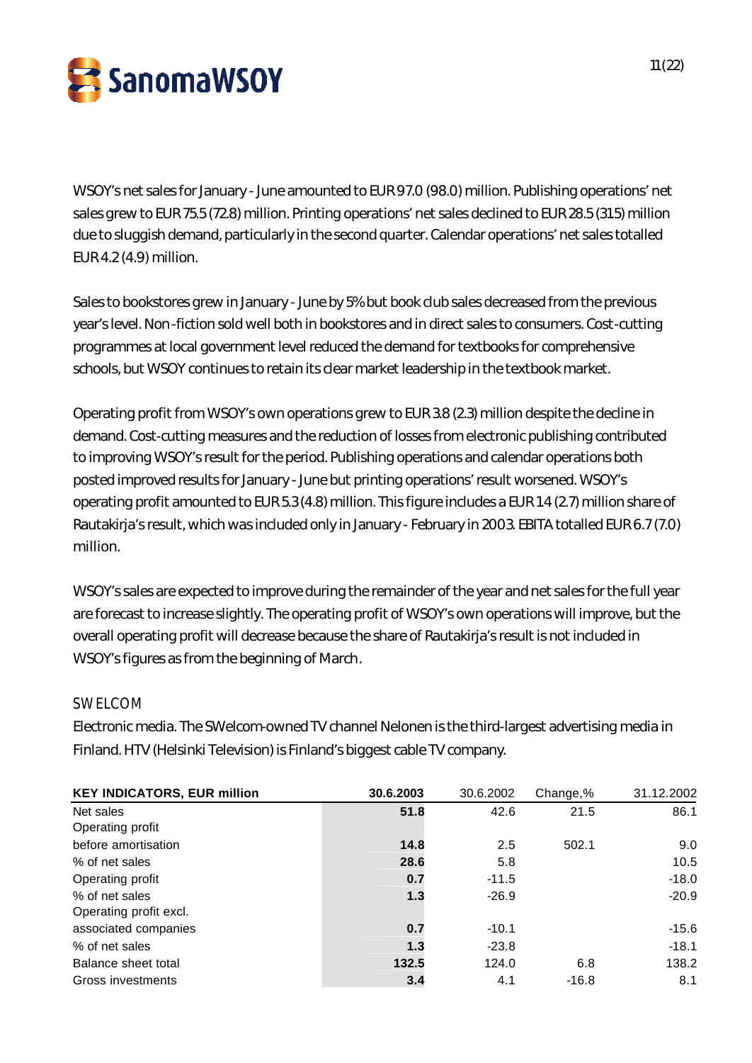

WSOY's net sales for January - June amounted to EUR 97.0 (98.0) million. Publishing operations' net sales grew to EUR 75.5 (72.8) million. Printing operations' net sales declined to EUR 28.5 (31.5) million due to sluggish demand, particularly in the second quarter. Calendar operations' net sales totalled EUR 4.2 (4.9) million.

Sales to bookstores grew in January - June by 5% but book club sales decreased from the previous year's level. Non-fiction sold well both in bookstores and in direct sales to consumers. Cost-cutting programmes at local government level reduced the demand for textbooks for comprehensive schools, but WSOY continues to retain its clear market leadership in the textbook market.

Operating profit from WSOY's own operations grew to EUR 3.8 (2.3) million despite the decline in demand. Cost-cutting measures and the reduction of losses from electronic publishing contributed to improving WSOY's result for the period. Publishing operations and calendar operations both posted improved results for January - June but printing operations' result worsened. WSOY's operating profit amounted to EUR 5.3 (4.8) million. This figure includes a EUR 1.4 (2.7) million share of Rautakirja's result, which was included only in January - February in 2003. EBITA totalled EUR 6.7 (7.0) million.

WSOY's sales are expected to improve during the remainder of the year and net sales for the full year are forecast to increase slightly. The operating profit of WSOY's own operations will improve, but the overall operating profit will decrease because the share of Rautakirja's result is not included in WSOY's figures as from the beginning of March.

# SWELCOM

Electronic media. The SWelcom-owned TV channel Nelonen is the third-largest advertising media in Finland. HTV (Helsinki Television) is Finland's biggest cable TV company.

| <b>KEY INDICATORS, EUR million</b> | 30.6.2003 | 30.6.2002 | Change,% | 31.12.2002 |
|------------------------------------|-----------|-----------|----------|------------|
| Net sales                          | 51.8      | 42.6      | 21.5     | 86.1       |
| Operating profit                   |           |           |          |            |
| before amortisation                | 14.8      | 2.5       | 502.1    | 9.0        |
| % of net sales                     | 28.6      | 5.8       |          | 10.5       |
| Operating profit                   | 0.7       | $-11.5$   |          | $-18.0$    |
| % of net sales                     | 1.3       | $-26.9$   |          | $-20.9$    |
| Operating profit excl.             |           |           |          |            |
| associated companies               | 0.7       | $-10.1$   |          | $-15.6$    |
| % of net sales                     | 1.3       | $-23.8$   |          | $-18.1$    |
| Balance sheet total                | 132.5     | 124.0     | 6.8      | 138.2      |
| Gross investments                  | 3.4       | 4.1       | $-16.8$  | 8.1        |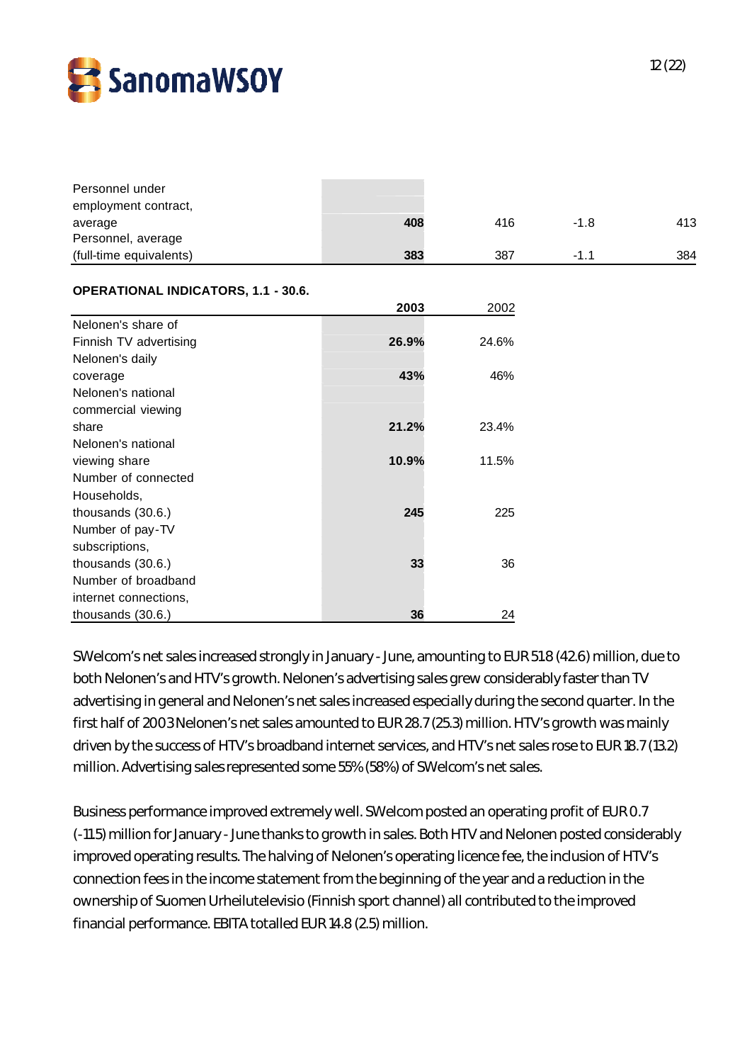

| Personnel under                            |       |       |        |     |
|--------------------------------------------|-------|-------|--------|-----|
| employment contract,                       | 408   | 416   | $-1.8$ | 413 |
| average<br>Personnel, average              |       |       |        |     |
| (full-time equivalents)                    | 383   | 387   | $-1.1$ | 384 |
|                                            |       |       |        |     |
| <b>OPERATIONAL INDICATORS, 1.1 - 30.6.</b> |       |       |        |     |
|                                            | 2003  | 2002  |        |     |
| Nelonen's share of                         |       |       |        |     |
| Finnish TV advertising                     | 26.9% | 24.6% |        |     |
| Nelonen's daily                            |       |       |        |     |
| coverage                                   | 43%   | 46%   |        |     |
| Nelonen's national                         |       |       |        |     |
| commercial viewing                         |       |       |        |     |
| share                                      | 21.2% | 23.4% |        |     |
| Nelonen's national                         |       |       |        |     |
| viewing share                              | 10.9% | 11.5% |        |     |
| Number of connected                        |       |       |        |     |
| Households,                                |       |       |        |     |
| thousands (30.6.)                          | 245   | 225   |        |     |
| Number of pay-TV                           |       |       |        |     |
| subscriptions,                             |       |       |        |     |
| thousands (30.6.)                          | 33    | 36    |        |     |
| Number of broadband                        |       |       |        |     |
| internet connections,                      |       |       |        |     |
| thousands (30.6.)                          | 36    | 24    |        |     |

SWelcom's net sales increased strongly in January - June, amounting to EUR 51.8 (42.6) million, due to both Nelonen's and HTV's growth. Nelonen's advertising sales grew considerably faster than TV advertising in general and Nelonen's net sales increased especially during the second quarter. In the first half of 2003 Nelonen's net sales amounted to EUR 28.7 (25.3) million. HTV's growth was mainly driven by the success of HTV's broadband internet services, and HTV's net sales rose to EUR 18.7 (13.2) million. Advertising sales represented some 55% (58%) of SWelcom's net sales.

Business performance improved extremely well. SWelcom posted an operating profit of EUR 0.7 (-11.5) million for January - June thanks to growth in sales. Both HTV and Nelonen posted considerably improved operating results. The halving of Nelonen's operating licence fee, the inclusion of HTV's connection fees in the income statement from the beginning of the year and a reduction in the ownership of Suomen Urheilutelevisio (Finnish sport channel) all contributed to the improved financial performance. EBITA totalled EUR 14.8 (2.5) million.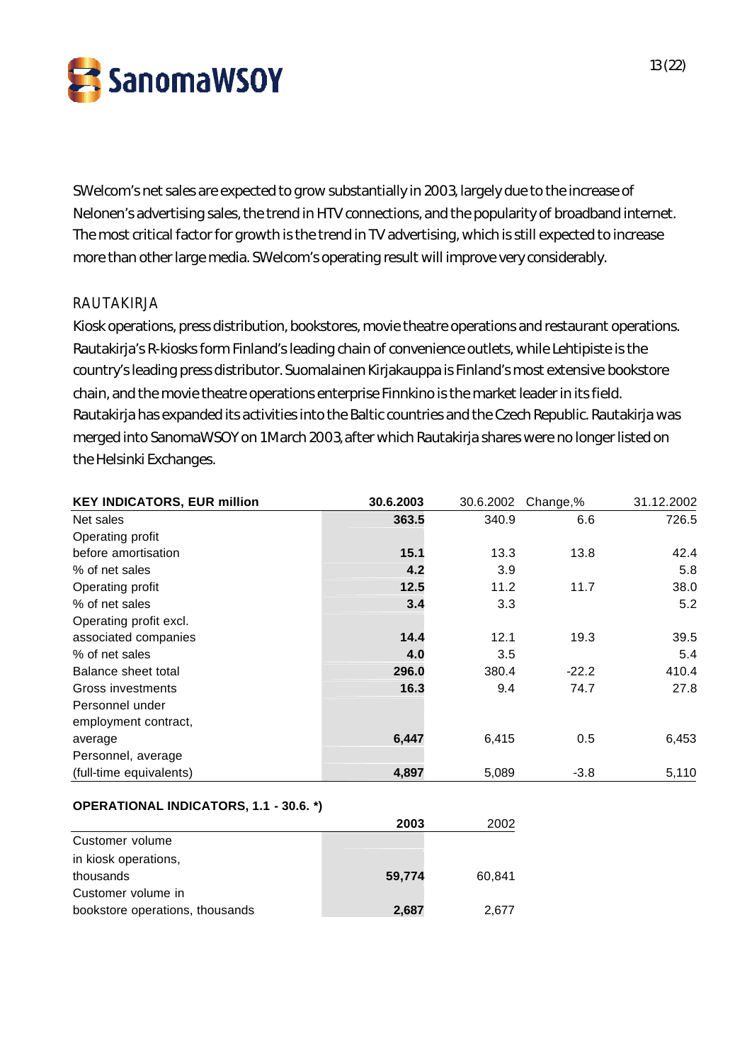

SWelcom's net sales are expected to grow substantially in 2003, largely due to the increase of Nelonen's advertising sales, the trend in HTV connections, and the popularity of broadband internet. The most critical factor for growth is the trend in TV advertising, which is still expected to increase more than other large media. SWelcom's operating result will improve very considerably.

### RAUTAKIRJA

Kiosk operations, press distribution, bookstores, movie theatre operations and restaurant operations. Rautakirja's R-kiosks form Finland's leading chain of convenience outlets, while Lehtipiste is the country's leading press distributor. Suomalainen Kirjakauppa is Finland's most extensive bookstore chain, and the movie theatre operations enterprise Finnkino is the market leader in its field. Rautakirja has expanded its activities into the Baltic countries and the Czech Republic. Rautakirja was merged into SanomaWSOY on 1 March 2003, after which Rautakirja shares were no longer listed on the Helsinki Exchanges.

| <b>KEY INDICATORS, EUR million</b> | 30.6.2003 | 30.6.2002 | Change,% | 31.12.2002 |
|------------------------------------|-----------|-----------|----------|------------|
| Net sales                          | 363.5     | 340.9     | 6.6      | 726.5      |
| Operating profit                   |           |           |          |            |
| before amortisation                | 15.1      | 13.3      | 13.8     | 42.4       |
| % of net sales                     | 4.2       | 3.9       |          | 5.8        |
| Operating profit                   | 12.5      | 11.2      | 11.7     | 38.0       |
| % of net sales                     | 3.4       | 3.3       |          | 5.2        |
| Operating profit excl.             |           |           |          |            |
| associated companies               | 14.4      | 12.1      | 19.3     | 39.5       |
| % of net sales                     | 4.0       | 3.5       |          | 5.4        |
| Balance sheet total                | 296.0     | 380.4     | $-22.2$  | 410.4      |
| Gross investments                  | 16.3      | 9.4       | 74.7     | 27.8       |
| Personnel under                    |           |           |          |            |
| employment contract,               |           |           |          |            |
| average                            | 6,447     | 6,415     | 0.5      | 6,453      |
| Personnel, average                 |           |           |          |            |
| (full-time equivalents)            | 4,897     | 5,089     | $-3.8$   | 5,110      |

### **OPERATIONAL INDICATORS, 1.1 - 30.6. \*)**

|                                 | 2003   | 2002   |
|---------------------------------|--------|--------|
| Customer volume                 |        |        |
| in kiosk operations,            |        |        |
| thousands                       | 59,774 | 60.841 |
| Customer volume in              |        |        |
| bookstore operations, thousands | 2,687  | 2.677  |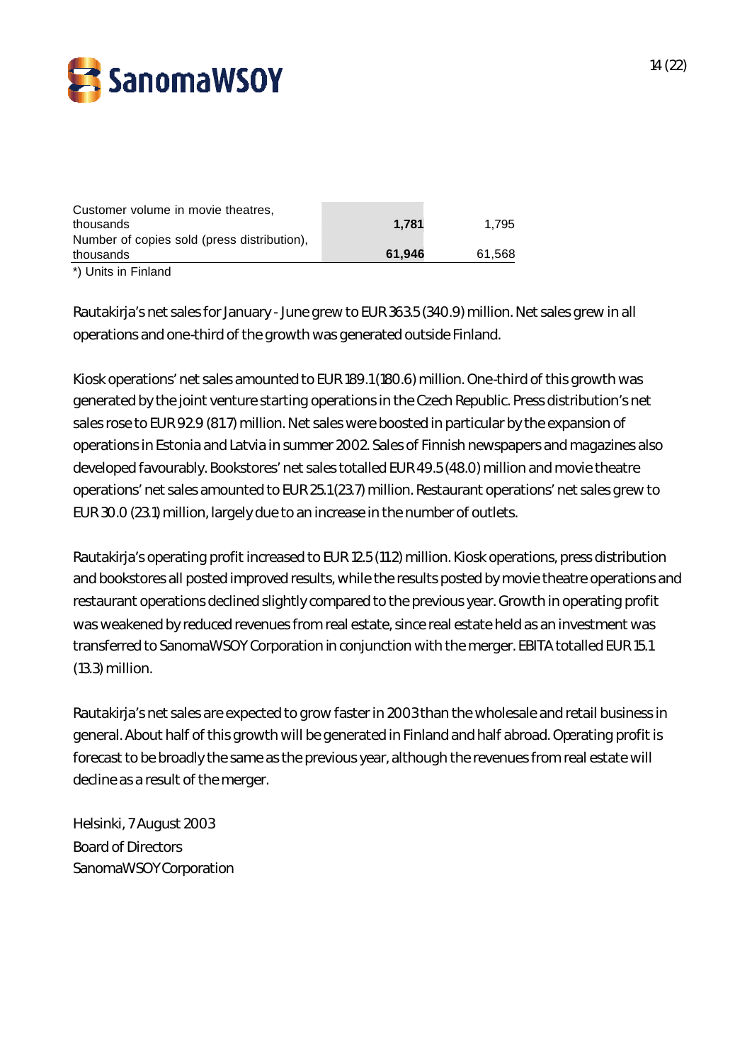

| thousands                                                                                      | 61.946 | 61.568 |
|------------------------------------------------------------------------------------------------|--------|--------|
| Customer volume in movie theatres,<br>thousands<br>Number of copies sold (press distribution), | 1.781  | 1.795  |

\*) Units in Finland

Rautakirja's net sales for January - June grew to EUR 363.5 (340.9) million. Net sales grew in all operations and one-third of the growth was generated outside Finland.

Kiosk operations' net sales amounted to EUR 189.1 (180.6) million. One-third of this growth was generated by the joint venture starting operations in the Czech Republic. Press distribution's net sales rose to EUR 92.9 (81.7) million. Net sales were boosted in particular by the expansion of operations in Estonia and Latvia in summer 2002. Sales of Finnish newspapers and magazines also developed favourably. Bookstores' net sales totalled EUR 49.5 (48.0) million and movie theatre operations' net sales amounted to EUR 25.1 (23.7) million. Restaurant operations' net sales grew to EUR 30.0 (23.1) million, largely due to an increase in the number of outlets.

Rautakirja's operating profit increased to EUR 12.5 (11.2) million. Kiosk operations, press distribution and bookstores all posted improved results, while the results posted by movie theatre operations and restaurant operations declined slightly compared to the previous year. Growth in operating profit was weakened by reduced revenues from real estate, since real estate held as an investment was transferred to SanomaWSOY Corporation in conjunction with the merger. EBITA totalled EUR 15.1 (13.3) million.

Rautakirja's net sales are expected to grow faster in 2003 than the wholesale and retail business in general. About half of this growth will be generated in Finland and half abroad. Operating profit is forecast to be broadly the same as the previous year, although the revenues from real estate will decline as a result of the merger.

Helsinki, 7 August 2003 Board of Directors SanomaWSOY Corporation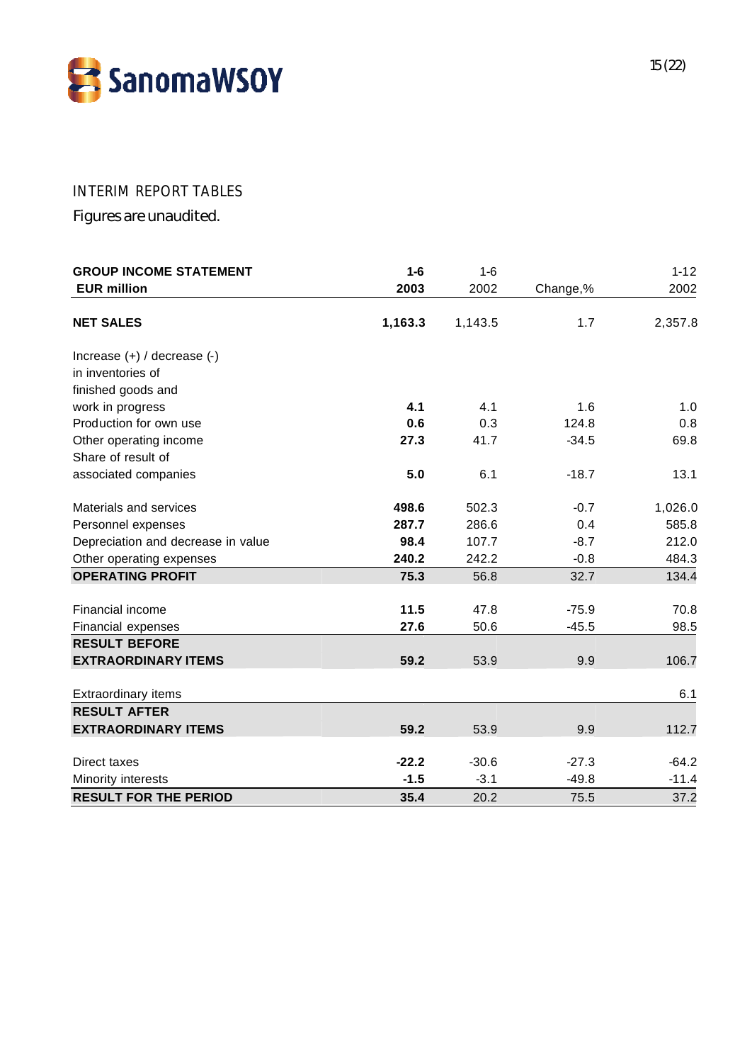

# INTERIM REPORT TABLES

Figures are unaudited.

| <b>GROUP INCOME STATEMENT</b>      | $1-6$   | $1-6$   |          | $1 - 12$ |
|------------------------------------|---------|---------|----------|----------|
| <b>EUR million</b>                 | 2003    | 2002    | Change,% | 2002     |
| <b>NET SALES</b>                   | 1,163.3 | 1,143.5 | 1.7      | 2,357.8  |
| Increase $(+)$ / decrease $(-)$    |         |         |          |          |
| in inventories of                  |         |         |          |          |
| finished goods and                 |         |         |          |          |
| work in progress                   | 4.1     | 4.1     | 1.6      | 1.0      |
| Production for own use             | 0.6     | 0.3     | 124.8    | 0.8      |
| Other operating income             | 27.3    | 41.7    | $-34.5$  | 69.8     |
| Share of result of                 |         |         |          |          |
| associated companies               | 5.0     | 6.1     | $-18.7$  | 13.1     |
| Materials and services             | 498.6   | 502.3   | $-0.7$   | 1,026.0  |
| Personnel expenses                 | 287.7   | 286.6   | 0.4      | 585.8    |
| Depreciation and decrease in value | 98.4    | 107.7   | $-8.7$   | 212.0    |
| Other operating expenses           | 240.2   | 242.2   | $-0.8$   | 484.3    |
| <b>OPERATING PROFIT</b>            | 75.3    | 56.8    | 32.7     | 134.4    |
| Financial income                   | 11.5    | 47.8    | $-75.9$  | 70.8     |
| Financial expenses                 | 27.6    | 50.6    | $-45.5$  | 98.5     |
| <b>RESULT BEFORE</b>               |         |         |          |          |
| <b>EXTRAORDINARY ITEMS</b>         | 59.2    | 53.9    | 9.9      | 106.7    |
| <b>Extraordinary items</b>         |         |         |          | 6.1      |
| <b>RESULT AFTER</b>                |         |         |          |          |
| <b>EXTRAORDINARY ITEMS</b>         | 59.2    | 53.9    | 9.9      | 112.7    |
| Direct taxes                       | $-22.2$ | $-30.6$ | $-27.3$  | $-64.2$  |
| Minority interests                 | $-1.5$  | $-3.1$  | $-49.8$  | $-11.4$  |
| <b>RESULT FOR THE PERIOD</b>       | 35.4    | 20.2    | 75.5     | 37.2     |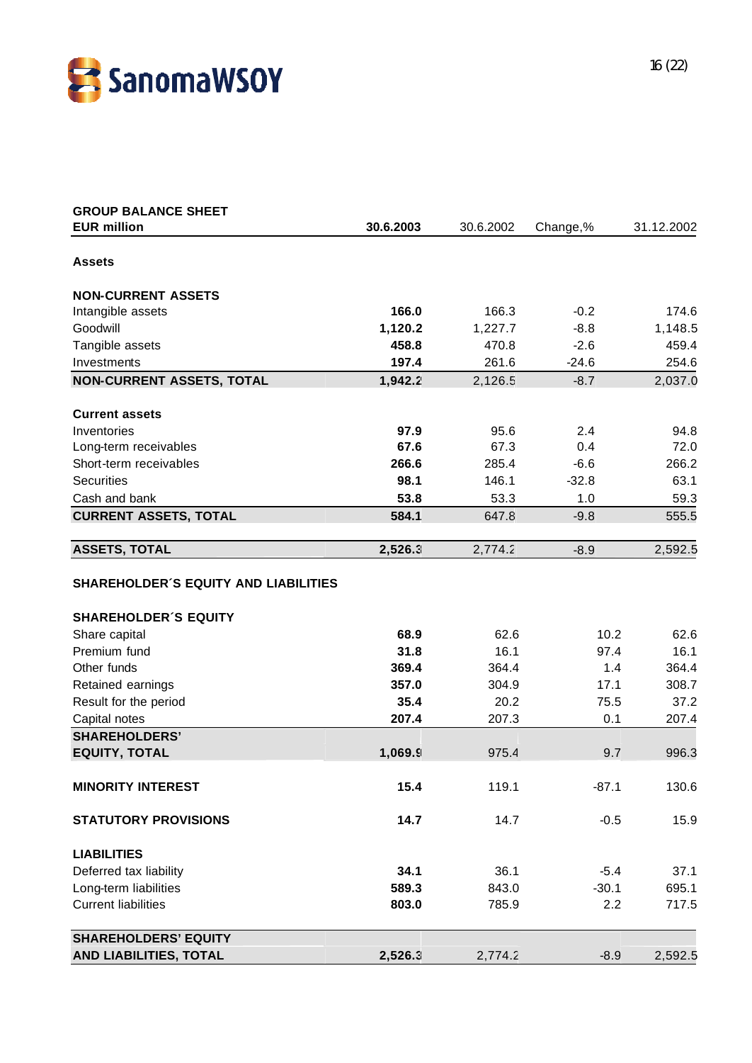![](_page_15_Picture_0.jpeg)

| <b>GROUP BALANCE SHEET</b>                  |           |           |          |            |
|---------------------------------------------|-----------|-----------|----------|------------|
| <b>EUR million</b>                          | 30.6.2003 | 30.6.2002 | Change,% | 31.12.2002 |
| <b>Assets</b>                               |           |           |          |            |
|                                             |           |           |          |            |
| <b>NON-CURRENT ASSETS</b>                   |           |           |          |            |
| Intangible assets                           | 166.0     | 166.3     | $-0.2$   | 174.6      |
| Goodwill                                    | 1,120.2   | 1,227.7   | $-8.8$   | 1,148.5    |
| Tangible assets                             | 458.8     | 470.8     | $-2.6$   | 459.4      |
| Investments                                 | 197.4     | 261.6     | $-24.6$  | 254.6      |
| <b>NON-CURRENT ASSETS, TOTAL</b>            | 1,942.2   | 2,126.5   | $-8.7$   | 2,037.0    |
| <b>Current assets</b>                       |           |           |          |            |
| Inventories                                 | 97.9      | 95.6      | 2.4      | 94.8       |
| Long-term receivables                       | 67.6      | 67.3      | 0.4      | 72.0       |
| Short-term receivables                      | 266.6     | 285.4     | $-6.6$   | 266.2      |
| <b>Securities</b>                           | 98.1      | 146.1     | $-32.8$  | 63.1       |
| Cash and bank                               | 53.8      | 53.3      | 1.0      | 59.3       |
| <b>CURRENT ASSETS, TOTAL</b>                | 584.1     | 647.8     | $-9.8$   | 555.5      |
| <b>ASSETS, TOTAL</b>                        | 2,526.3   | 2,774.2   | $-8.9$   | 2,592.5    |
| <b>SHAREHOLDER'S EQUITY AND LIABILITIES</b> |           |           |          |            |
| <b>SHAREHOLDER'S EQUITY</b>                 |           |           |          |            |
| Share capital                               | 68.9      | 62.6      | 10.2     | 62.6       |
| Premium fund                                | 31.8      | 16.1      | 97.4     | 16.1       |
| Other funds                                 | 369.4     | 364.4     | 1.4      | 364.4      |
| Retained earnings                           | 357.0     | 304.9     | 17.1     | 308.7      |
| Result for the period                       | 35.4      | 20.2      | 75.5     | 37.2       |
| Capital notes                               | 207.4     | 207.3     | 0.1      | 207.4      |
| <b>SHAREHOLDERS'</b>                        |           |           |          |            |
| <b>EQUITY, TOTAL</b>                        | 1,069.9   | 975.4     | 9.7      | 996.3      |
| <b>MINORITY INTEREST</b>                    | 15.4      | 119.1     | $-87.1$  | 130.6      |
| <b>STATUTORY PROVISIONS</b>                 | 14.7      | 14.7      | $-0.5$   | 15.9       |
| <b>LIABILITIES</b>                          |           |           |          |            |
| Deferred tax liability                      | 34.1      | 36.1      | $-5.4$   | 37.1       |
| Long-term liabilities                       | 589.3     | 843.0     | $-30.1$  | 695.1      |
| <b>Current liabilities</b>                  | 803.0     | 785.9     | 2.2      | 717.5      |
| <b>SHAREHOLDERS' EQUITY</b>                 |           |           |          |            |
| <b>AND LIABILITIES, TOTAL</b>               | 2,526.3   | 2,774.2   | $-8.9$   | 2,592.5    |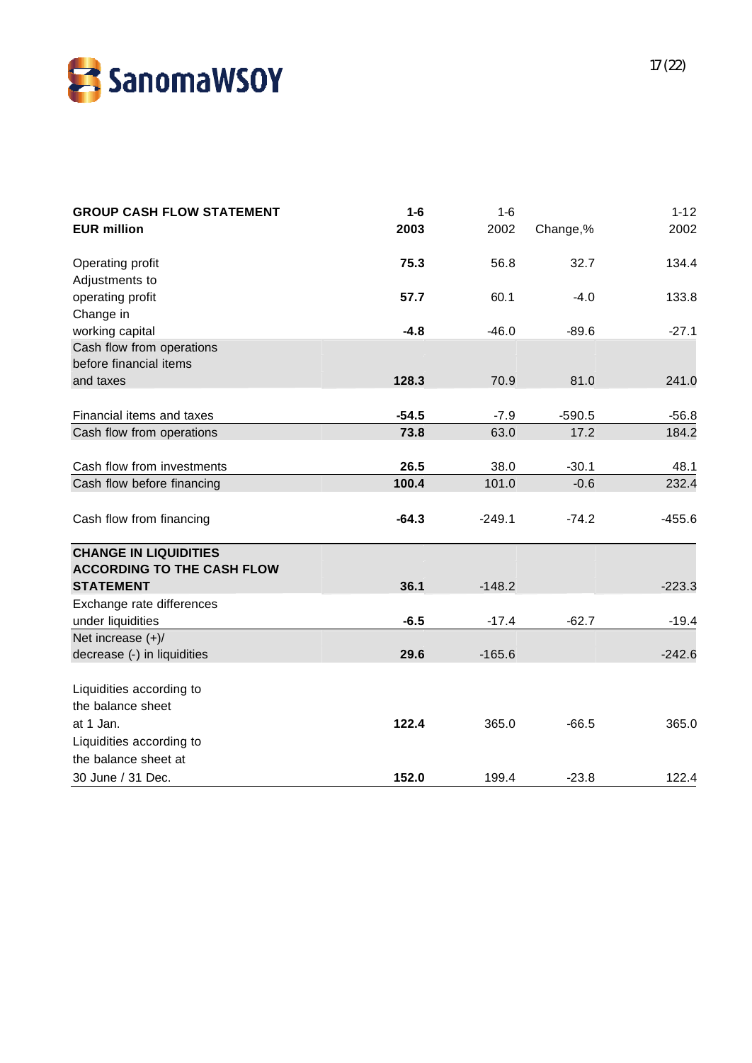![](_page_16_Picture_0.jpeg)

| <b>GROUP CASH FLOW STATEMENT</b><br><b>EUR million</b>                 | $1-6$<br>2003 | $1 - 6$<br>2002 | Change,% | $1 - 12$<br>2002 |
|------------------------------------------------------------------------|---------------|-----------------|----------|------------------|
| Operating profit<br>Adjustments to                                     | 75.3          | 56.8            | 32.7     | 134.4            |
| operating profit<br>Change in                                          | 57.7          | 60.1            | $-4.0$   | 133.8            |
| working capital<br>Cash flow from operations<br>before financial items | $-4.8$        | $-46.0$         | $-89.6$  | $-27.1$          |
| and taxes                                                              | 128.3         | 70.9            | 81.0     | 241.0            |
| Financial items and taxes                                              | $-54.5$       | $-7.9$          | $-590.5$ | $-56.8$          |
| Cash flow from operations                                              | 73.8          | 63.0            | 17.2     | 184.2            |
| Cash flow from investments                                             | 26.5          | 38.0            | $-30.1$  | 48.1             |
| Cash flow before financing                                             | 100.4         | 101.0           | $-0.6$   | 232.4            |
| Cash flow from financing                                               | $-64.3$       | $-249.1$        | $-74.2$  | $-455.6$         |
| <b>CHANGE IN LIQUIDITIES</b><br><b>ACCORDING TO THE CASH FLOW</b>      |               |                 |          |                  |
| <b>STATEMENT</b>                                                       | 36.1          | $-148.2$        |          | $-223.3$         |
| Exchange rate differences<br>under liquidities                         | $-6.5$        | $-17.4$         | $-62.7$  | $-19.4$          |
| Net increase $(+)/$<br>decrease (-) in liquidities                     | 29.6          | $-165.6$        |          | $-242.6$         |
| Liquidities according to                                               |               |                 |          |                  |
| the balance sheet<br>at 1 Jan.                                         | 122.4         | 365.0           | $-66.5$  | 365.0            |
| Liquidities according to                                               |               |                 |          |                  |
| the balance sheet at                                                   |               |                 |          |                  |
| 30 June / 31 Dec.                                                      | 152.0         | 199.4           | $-23.8$  | 122.4            |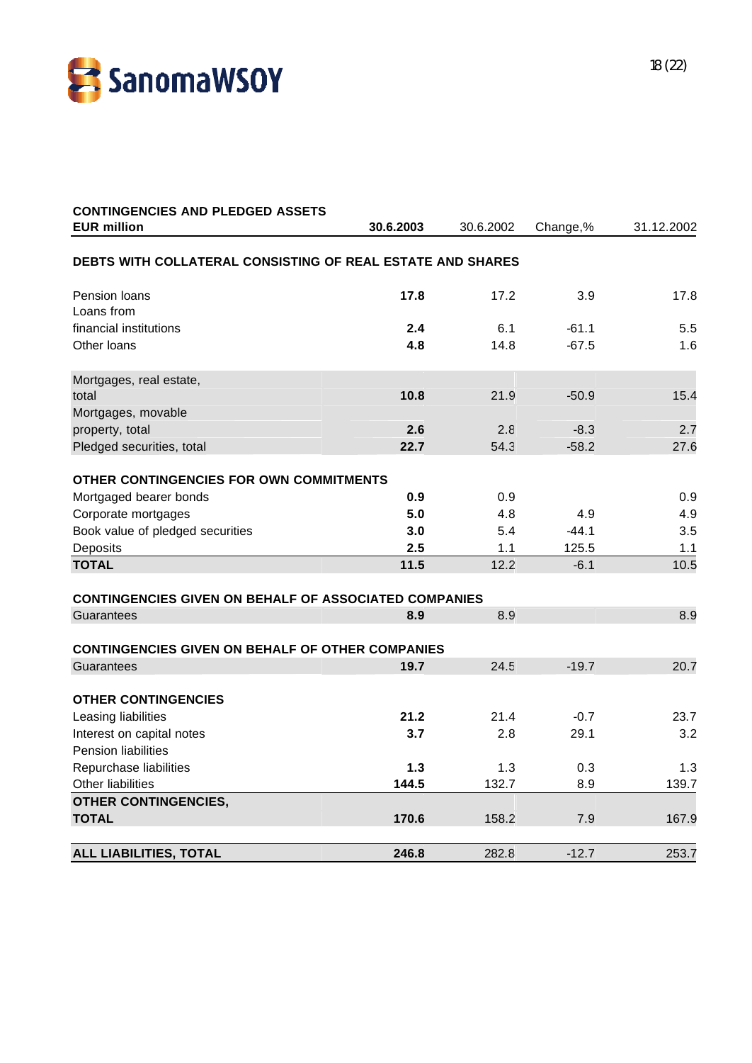![](_page_17_Picture_0.jpeg)

| 30.6.2003 | 30.6.2002                                                                                           | Change,%                                                                                                                                                                                                                                          | 31.12.2002                                           |
|-----------|-----------------------------------------------------------------------------------------------------|---------------------------------------------------------------------------------------------------------------------------------------------------------------------------------------------------------------------------------------------------|------------------------------------------------------|
|           |                                                                                                     |                                                                                                                                                                                                                                                   |                                                      |
| 17.8      | 17.2                                                                                                | 3.9                                                                                                                                                                                                                                               | 17.8                                                 |
|           |                                                                                                     |                                                                                                                                                                                                                                                   |                                                      |
| 2.4       | 6.1                                                                                                 | $-61.1$                                                                                                                                                                                                                                           | 5.5                                                  |
| 4.8       | 14.8                                                                                                | $-67.5$                                                                                                                                                                                                                                           | 1.6                                                  |
|           |                                                                                                     |                                                                                                                                                                                                                                                   |                                                      |
|           |                                                                                                     | $-50.9$                                                                                                                                                                                                                                           | 15.4                                                 |
| 2.6       | 2.8                                                                                                 | $-8.3$                                                                                                                                                                                                                                            | 2.7                                                  |
| 22.7      | 54.3                                                                                                | $-58.2$                                                                                                                                                                                                                                           | 27.6                                                 |
|           |                                                                                                     |                                                                                                                                                                                                                                                   |                                                      |
|           |                                                                                                     |                                                                                                                                                                                                                                                   | 0.9                                                  |
|           |                                                                                                     |                                                                                                                                                                                                                                                   | 4.9                                                  |
|           |                                                                                                     |                                                                                                                                                                                                                                                   | 3.5                                                  |
|           |                                                                                                     |                                                                                                                                                                                                                                                   | 1.1                                                  |
| 11.5      | 12.2                                                                                                | $-6.1$                                                                                                                                                                                                                                            | 10.5                                                 |
|           |                                                                                                     |                                                                                                                                                                                                                                                   |                                                      |
|           |                                                                                                     |                                                                                                                                                                                                                                                   |                                                      |
|           |                                                                                                     |                                                                                                                                                                                                                                                   | 8.9                                                  |
|           |                                                                                                     |                                                                                                                                                                                                                                                   |                                                      |
| 19.7      | 24.5                                                                                                | $-19.7$                                                                                                                                                                                                                                           | 20.7                                                 |
|           |                                                                                                     |                                                                                                                                                                                                                                                   |                                                      |
|           |                                                                                                     |                                                                                                                                                                                                                                                   | 23.7                                                 |
| 3.7       | 2.8                                                                                                 |                                                                                                                                                                                                                                                   | 3.2                                                  |
|           |                                                                                                     |                                                                                                                                                                                                                                                   |                                                      |
| 1.3       | 1.3                                                                                                 | 0.3                                                                                                                                                                                                                                               | 1.3                                                  |
| 144.5     | 132.7                                                                                               | 8.9                                                                                                                                                                                                                                               | 139.7                                                |
|           |                                                                                                     |                                                                                                                                                                                                                                                   |                                                      |
| 170.6     | 158.2                                                                                               | 7.9                                                                                                                                                                                                                                               | 167.9                                                |
|           |                                                                                                     |                                                                                                                                                                                                                                                   | 253.7                                                |
|           | 10.8<br>OTHER CONTINGENCIES FOR OWN COMMITMENTS<br>0.9<br>5.0<br>3.0<br>2.5<br>8.9<br>21.2<br>246.8 | DEBTS WITH COLLATERAL CONSISTING OF REAL ESTATE AND SHARES<br>21.9<br>0.9<br>4.8<br>5.4<br>1.1<br><b>CONTINGENCIES GIVEN ON BEHALF OF ASSOCIATED COMPANIES</b><br>8.9<br><b>CONTINGENCIES GIVEN ON BEHALF OF OTHER COMPANIES</b><br>21.4<br>282.8 | 4.9<br>$-44.1$<br>125.5<br>$-0.7$<br>29.1<br>$-12.7$ |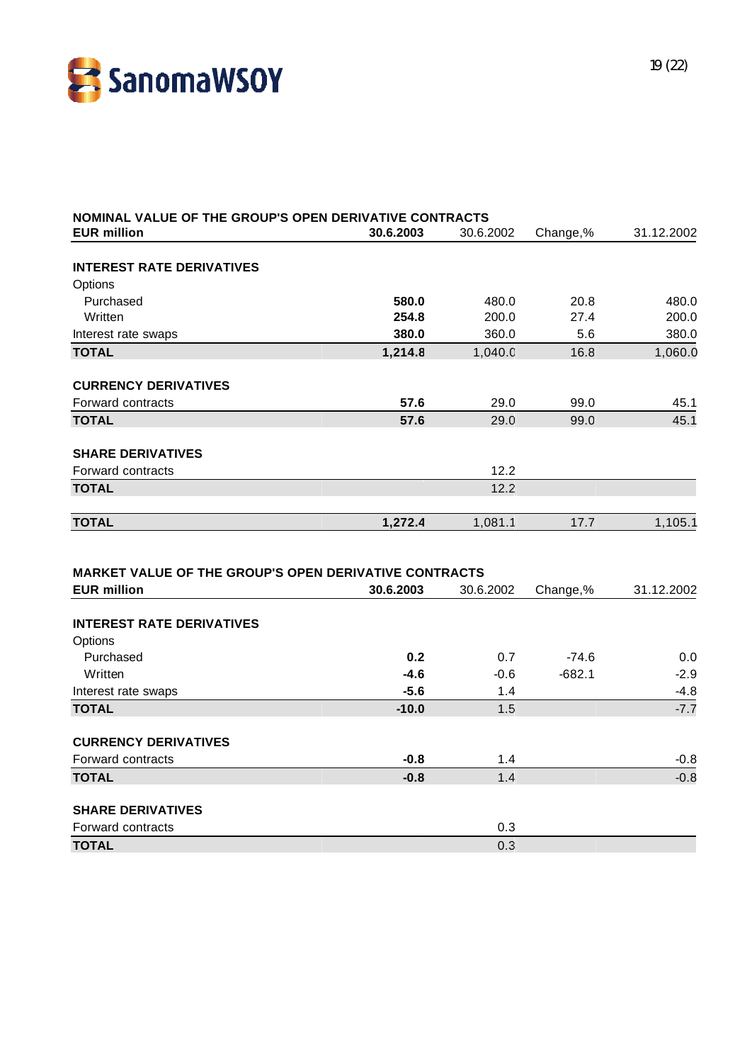![](_page_18_Picture_0.jpeg)

| NOMINAL VALUE OF THE GROUP'S OPEN DERIVATIVE CONTRACTS                      |           |           |          |            |
|-----------------------------------------------------------------------------|-----------|-----------|----------|------------|
| <b>EUR million</b>                                                          | 30.6.2003 | 30.6.2002 | Change,% | 31.12.2002 |
|                                                                             |           |           |          |            |
| <b>INTEREST RATE DERIVATIVES</b>                                            |           |           |          |            |
| Options                                                                     |           |           |          |            |
| Purchased                                                                   | 580.0     | 480.0     | 20.8     | 480.0      |
| Written                                                                     | 254.8     | 200.0     | 27.4     | 200.0      |
| Interest rate swaps                                                         | 380.0     | 360.0     | 5.6      | 380.0      |
| <b>TOTAL</b>                                                                | 1,214.8   | 1,040.0   | 16.8     | 1,060.0    |
| <b>CURRENCY DERIVATIVES</b>                                                 |           |           |          |            |
| Forward contracts                                                           | 57.6      | 29.0      | 99.0     | 45.1       |
| <b>TOTAL</b>                                                                | 57.6      | 29.0      | 99.0     | 45.1       |
| <b>SHARE DERIVATIVES</b>                                                    |           |           |          |            |
| Forward contracts                                                           |           | 12.2      |          |            |
| <b>TOTAL</b>                                                                |           | 12.2      |          |            |
|                                                                             |           |           |          |            |
| <b>TOTAL</b>                                                                | 1,272.4   | 1,081.1   | 17.7     | 1,105.1    |
| MARKET VALUE OF THE GROUP'S OPEN DERIVATIVE CONTRACTS<br><b>EUR million</b> | 30.6.2003 | 30.6.2002 | Change,% | 31.12.2002 |
|                                                                             |           |           |          |            |
| <b>INTEREST RATE DERIVATIVES</b>                                            |           |           |          |            |
| Options                                                                     |           |           |          |            |
| Purchased                                                                   | 0.2       | 0.7       | $-74.6$  | 0.0        |
| Written                                                                     | $-4.6$    | $-0.6$    | $-682.1$ | $-2.9$     |
| Interest rate swaps                                                         | $-5.6$    | 1.4       |          | $-4.8$     |
| <b>TOTAL</b>                                                                | $-10.0$   | 1.5       |          | $-7.7$     |
| <b>CURRENCY DERIVATIVES</b>                                                 |           |           |          |            |
| Forward contracts                                                           | $-0.8$    | 1.4       |          | $-0.8$     |
| <b>TOTAL</b>                                                                | $-0.8$    | 1.4       |          | $-0.8$     |
| <b>SHARE DERIVATIVES</b>                                                    |           |           |          |            |
| Forward contracts                                                           |           | 0.3       |          |            |
| <b>TOTAL</b>                                                                |           | 0.3       |          |            |
|                                                                             |           |           |          |            |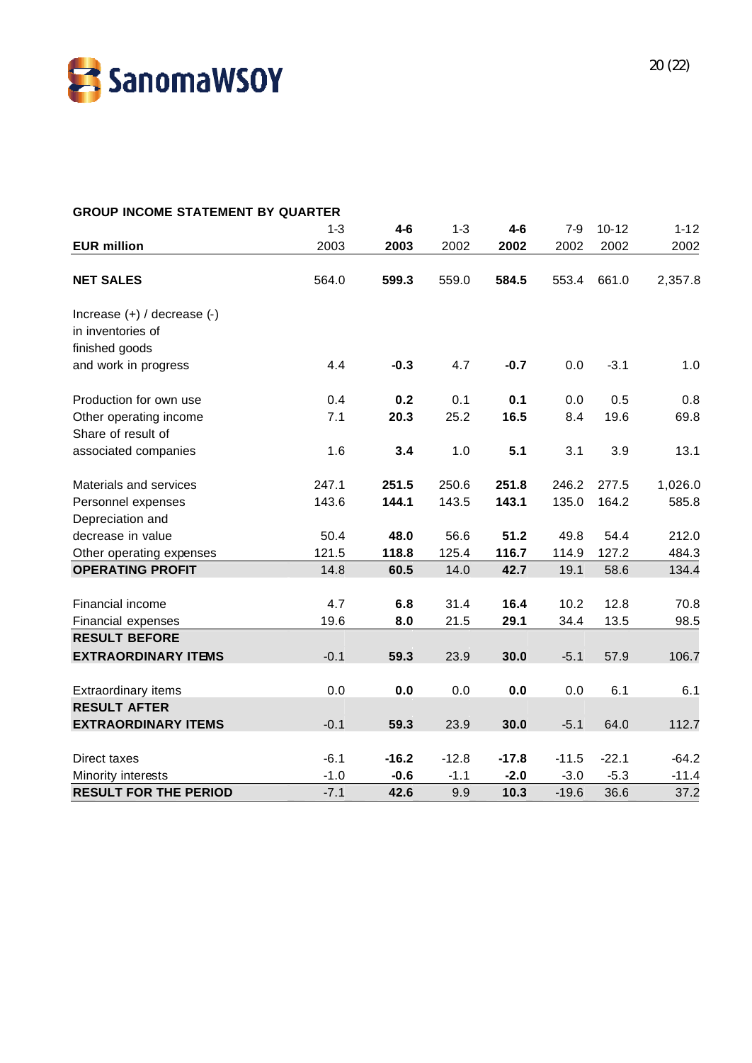![](_page_19_Picture_0.jpeg)

| <b>GROUP INCOME STATEMENT BY QUARTER</b> |         |         |         |         |         |           |          |
|------------------------------------------|---------|---------|---------|---------|---------|-----------|----------|
|                                          | $1 - 3$ | $4-6$   | $1 - 3$ | $4-6$   | $7-9$   | $10 - 12$ | $1 - 12$ |
| <b>EUR million</b>                       | 2003    | 2003    | 2002    | 2002    | 2002    | 2002      | 2002     |
| <b>NET SALES</b>                         | 564.0   | 599.3   | 559.0   | 584.5   | 553.4   | 661.0     | 2,357.8  |
| Increase (+) / decrease (-)              |         |         |         |         |         |           |          |
| in inventories of                        |         |         |         |         |         |           |          |
| finished goods                           |         |         |         |         |         |           |          |
| and work in progress                     | 4.4     | $-0.3$  | 4.7     | $-0.7$  | 0.0     | $-3.1$    | 1.0      |
| Production for own use                   | 0.4     | 0.2     | 0.1     | 0.1     | 0.0     | 0.5       | 0.8      |
| Other operating income                   | 7.1     | 20.3    | 25.2    | 16.5    | 8.4     | 19.6      | 69.8     |
| Share of result of                       |         |         |         |         |         |           |          |
| associated companies                     | 1.6     | 3.4     | 1.0     | 5.1     | 3.1     | 3.9       | 13.1     |
| Materials and services                   | 247.1   | 251.5   | 250.6   | 251.8   | 246.2   | 277.5     | 1,026.0  |
| Personnel expenses                       | 143.6   | 144.1   | 143.5   | 143.1   | 135.0   | 164.2     | 585.8    |
| Depreciation and                         |         |         |         |         |         |           |          |
| decrease in value                        | 50.4    | 48.0    | 56.6    | 51.2    | 49.8    | 54.4      | 212.0    |
| Other operating expenses                 | 121.5   | 118.8   | 125.4   | 116.7   | 114.9   | 127.2     | 484.3    |
| <b>OPERATING PROFIT</b>                  | 14.8    | 60.5    | 14.0    | 42.7    | 19.1    | 58.6      | 134.4    |
| Financial income                         | 4.7     | 6.8     | 31.4    | 16.4    | 10.2    | 12.8      | 70.8     |
| Financial expenses                       | 19.6    | 8.0     | 21.5    | 29.1    | 34.4    | 13.5      | 98.5     |
| <b>RESULT BEFORE</b>                     |         |         |         |         |         |           |          |
| <b>EXTRAORDINARY ITEMS</b>               | $-0.1$  | 59.3    | 23.9    | 30.0    | $-5.1$  | 57.9      | 106.7    |
|                                          |         |         |         |         |         |           |          |
| <b>Extraordinary items</b>               | 0.0     | 0.0     | 0.0     | 0.0     | 0.0     | 6.1       | 6.1      |
| <b>RESULT AFTER</b>                      |         |         |         |         |         |           |          |
| <b>EXTRAORDINARY ITEMS</b>               | $-0.1$  | 59.3    | 23.9    | 30.0    | $-5.1$  | 64.0      | 112.7    |
| Direct taxes                             | $-6.1$  | $-16.2$ | $-12.8$ | $-17.8$ | $-11.5$ | $-22.1$   | $-64.2$  |
| Minority interests                       | $-1.0$  | $-0.6$  | $-1.1$  | $-2.0$  | $-3.0$  | $-5.3$    | $-11.4$  |
| <b>RESULT FOR THE PERIOD</b>             | $-7.1$  | 42.6    | 9.9     | 10.3    | $-19.6$ | 36.6      | 37.2     |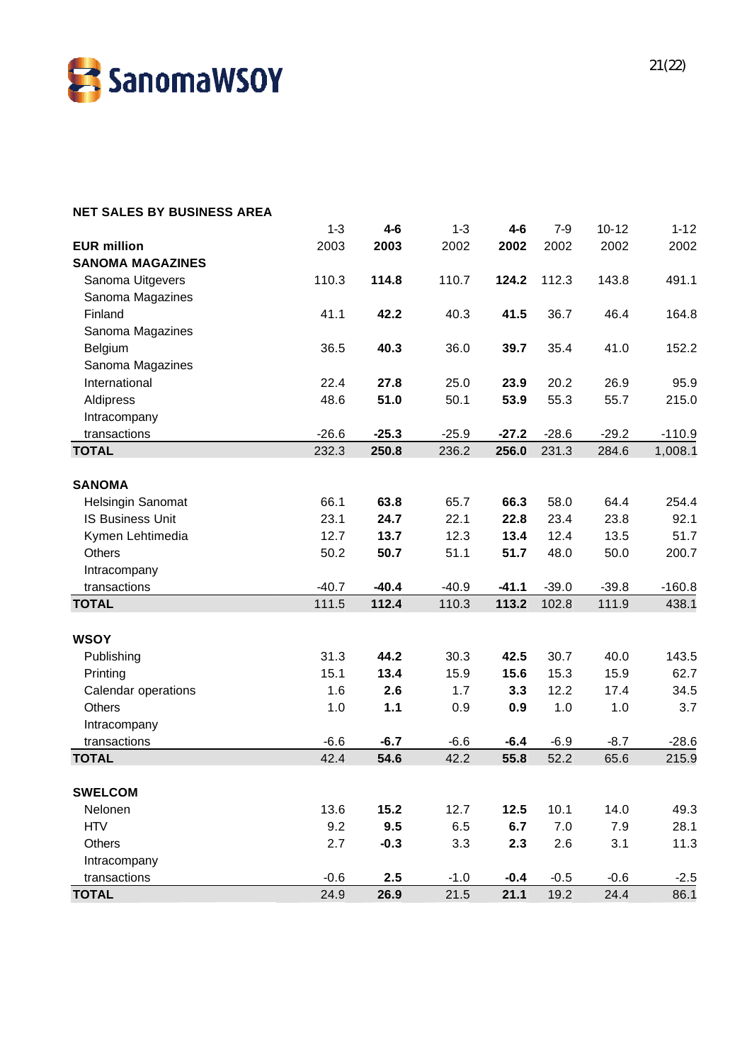![](_page_20_Picture_0.jpeg)

| <b>NET SALES BY BUSINESS AREA</b> |         |         |         |         |         |           |          |
|-----------------------------------|---------|---------|---------|---------|---------|-----------|----------|
|                                   | $1 - 3$ | $4 - 6$ | $1 - 3$ | $4 - 6$ | $7-9$   | $10 - 12$ | $1 - 12$ |
| <b>EUR million</b>                | 2003    | 2003    | 2002    | 2002    | 2002    | 2002      | 2002     |
| <b>SANOMA MAGAZINES</b>           |         |         |         |         |         |           |          |
| Sanoma Uitgevers                  | 110.3   | 114.8   | 110.7   | 124.2   | 112.3   | 143.8     | 491.1    |
| Sanoma Magazines                  |         |         |         |         |         |           |          |
| Finland                           | 41.1    | 42.2    | 40.3    | 41.5    | 36.7    | 46.4      | 164.8    |
| Sanoma Magazines                  |         |         |         |         |         |           |          |
| Belgium                           | 36.5    | 40.3    | 36.0    | 39.7    | 35.4    | 41.0      | 152.2    |
| Sanoma Magazines                  |         |         |         |         |         |           |          |
| International                     | 22.4    | 27.8    | 25.0    | 23.9    | 20.2    | 26.9      | 95.9     |
| Aldipress                         | 48.6    | 51.0    | 50.1    | 53.9    | 55.3    | 55.7      | 215.0    |
| Intracompany                      |         |         |         |         |         |           |          |
| transactions                      | $-26.6$ | $-25.3$ | $-25.9$ | $-27.2$ | $-28.6$ | $-29.2$   | $-110.9$ |
| <b>TOTAL</b>                      | 232.3   | 250.8   | 236.2   | 256.0   | 231.3   | 284.6     | 1,008.1  |
|                                   |         |         |         |         |         |           |          |
| <b>SANOMA</b>                     |         |         |         |         |         |           |          |
| Helsingin Sanomat                 | 66.1    | 63.8    | 65.7    | 66.3    | 58.0    | 64.4      | 254.4    |
| <b>IS Business Unit</b>           | 23.1    | 24.7    | 22.1    | 22.8    | 23.4    | 23.8      | 92.1     |
| Kymen Lehtimedia                  | 12.7    | 13.7    | 12.3    | 13.4    | 12.4    | 13.5      | 51.7     |
| <b>Others</b>                     | 50.2    | 50.7    | 51.1    | 51.7    | 48.0    | 50.0      | 200.7    |
| Intracompany                      |         |         |         |         |         |           |          |
| transactions                      | $-40.7$ | $-40.4$ | $-40.9$ | $-41.1$ | $-39.0$ | $-39.8$   | $-160.8$ |
| <b>TOTAL</b>                      | 111.5   | 112.4   | 110.3   | 113.2   | 102.8   | 111.9     | 438.1    |
|                                   |         |         |         |         |         |           |          |
| <b>WSOY</b>                       |         |         |         |         |         |           |          |
| Publishing                        | 31.3    | 44.2    | 30.3    | 42.5    | 30.7    | 40.0      | 143.5    |
| Printing                          | 15.1    | 13.4    | 15.9    | 15.6    | 15.3    | 15.9      | 62.7     |
| Calendar operations               | 1.6     | 2.6     | 1.7     | 3.3     | 12.2    | 17.4      | 34.5     |
| <b>Others</b>                     | 1.0     | 1.1     | 0.9     | 0.9     | 1.0     | 1.0       | 3.7      |
| Intracompany                      |         |         |         |         |         |           |          |
| transactions                      | $-6.6$  | $-6.7$  | $-6.6$  | $-6.4$  | $-6.9$  | $-8.7$    | $-28.6$  |
| <b>TOTAL</b>                      | 42.4    | 54.6    | 42.2    | 55.8    | 52.2    | 65.6      | 215.9    |
| <b>SWELCOM</b>                    |         |         |         |         |         |           |          |
| Nelonen                           | 13.6    | 15.2    | 12.7    | 12.5    | 10.1    | 14.0      | 49.3     |
| <b>HTV</b>                        | 9.2     | 9.5     | 6.5     | 6.7     | 7.0     | 7.9       | 28.1     |
| Others                            | 2.7     | $-0.3$  | 3.3     | 2.3     | 2.6     | 3.1       | 11.3     |
| Intracompany                      |         |         |         |         |         |           |          |
| transactions                      | $-0.6$  | 2.5     | $-1.0$  | $-0.4$  | $-0.5$  | $-0.6$    | $-2.5$   |
| <b>TOTAL</b>                      | 24.9    | 26.9    | 21.5    | 21.1    | 19.2    | 24.4      | 86.1     |
|                                   |         |         |         |         |         |           |          |